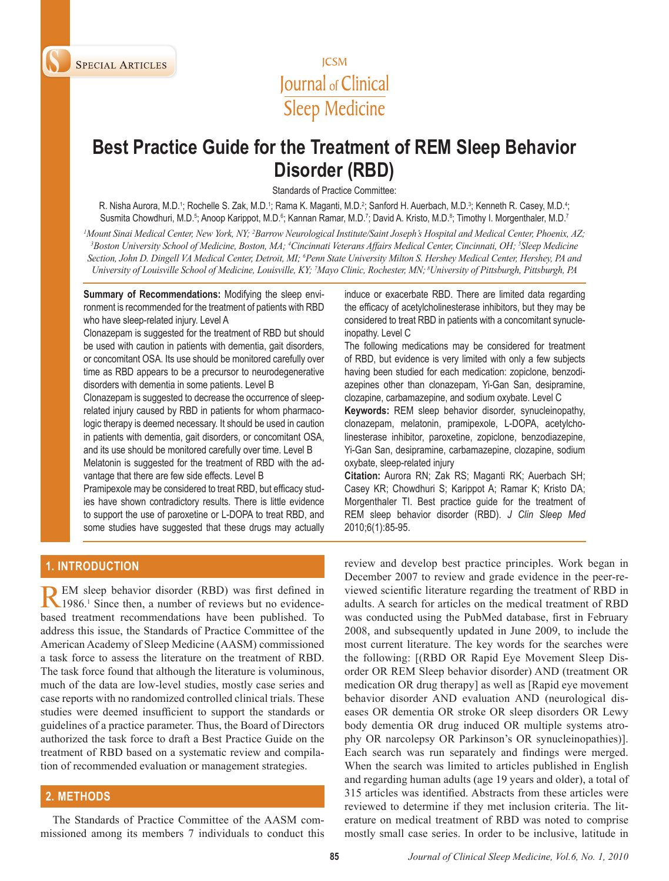



# **Best Practice Guide for the Treatment of REM Sleep Behavior Disorder (RBD)**

Standards of Practice Committee:

R. Nisha Aurora, M.D.1; Rochelle S. Zak, M.D.1; Rama K. Maganti, M.D.<sup>2</sup>; Sanford H. Auerbach, M.D.<sup>3</sup>; Kenneth R. Casey, M.D.<sup>4</sup>; Susmita Chowdhuri, M.D.<sup>5</sup>; Anoop Karippot, M.D.<sup>6</sup>; Kannan Ramar, M.D.<sup>7</sup>; David A. Kristo, M.D.<sup>8</sup>; Timothy I. Morgenthaler, M.D.<sup>7</sup>

*1 Mount Sinai Medical Center, New York, NY; 2 Barrow Neurological Institute/Saint Joseph's Hospital and Medical Center, Phoenix, AZ; 3* Boston University School of Medicine, Boston, MA; <sup>4</sup>Cincinnati Veterans Affairs Medical Center, Cincinnati, OH; <sup>5</sup>Sleep Medicine *Section, John D. Dingell VA Medical Center, Detroit, MI; 6 Penn State University Milton S. Hershey Medical Center, Hershey, PA and University of Louisville School of Medicine, Louisville, KY; 7 Mayo Clinic, Rochester, MN; 8University of Pittsburgh, Pittsburgh, PA*

**Summary of Recommendations:** Modifying the sleep environment is recommended for the treatment of patients with RBD who have sleep-related injury. Level A

Clonazepam is suggested for the treatment of RBD but should be used with caution in patients with dementia, gait disorders, or concomitant OSA. Its use should be monitored carefully over time as RBD appears to be a precursor to neurodegenerative disorders with dementia in some patients. Level B

Clonazepam is suggested to decrease the occurrence of sleeprelated injury caused by RBD in patients for whom pharmacologic therapy is deemed necessary. It should be used in caution in patients with dementia, gait disorders, or concomitant OSA, and its use should be monitored carefully over time. Level B

Melatonin is suggested for the treatment of RBD with the advantage that there are few side effects. Level B

Pramipexole may be considered to treat RBD, but efficacy studies have shown contradictory results. There is little evidence to support the use of paroxetine or L-DOPA to treat RBD, and some studies have suggested that these drugs may actually induce or exacerbate RBD. There are limited data regarding the efficacy of acetylcholinesterase inhibitors, but they may be considered to treat RBD in patients with a concomitant synucleinopathy. Level C

The following medications may be considered for treatment of RBD, but evidence is very limited with only a few subjects having been studied for each medication: zopiclone, benzodiazepines other than clonazepam, Yi-Gan San, desipramine, clozapine, carbamazepine, and sodium oxybate. Level C

**Keywords:** REM sleep behavior disorder, synucleinopathy, clonazepam, melatonin, pramipexole, L-DOPA, acetylcholinesterase inhibitor, paroxetine, zopiclone, benzodiazepine, Yi-Gan San, desipramine, carbamazepine, clozapine, sodium oxybate, sleep-related injury

**Citation:** Aurora RN; Zak RS; Maganti RK; Auerbach SH; Casey KR; Chowdhuri S; Karippot A; Ramar K; Kristo DA; Morgenthaler TI. Best practice guide for the treatment of REM sleep behavior disorder (RBD). *J Clin Sleep Med* 2010;6(1):85-95.

## **1. introduction**

REM sleep behavior disorder (RBD) was first defined in 1986.<sup>1</sup> Since then, a number of reviews but no evidencebased treatment recommendations have been published. To address this issue, the Standards of Practice Committee of the American Academy of Sleep Medicine (AASM) commissioned a task force to assess the literature on the treatment of RBD. The task force found that although the literature is voluminous, much of the data are low-level studies, mostly case series and case reports with no randomized controlled clinical trials. These studies were deemed insufficient to support the standards or guidelines of a practice parameter. Thus, the Board of Directors authorized the task force to draft a Best Practice Guide on the treatment of RBD based on a systematic review and compilation of recommended evaluation or management strategies.

## **2. Methods**

The Standards of Practice Committee of the AASM commissioned among its members 7 individuals to conduct this

review and develop best practice principles. Work began in December 2007 to review and grade evidence in the peer-reviewed scientific literature regarding the treatment of RBD in adults. A search for articles on the medical treatment of RBD was conducted using the PubMed database, first in February 2008, and subsequently updated in June 2009, to include the most current literature. The key words for the searches were the following: [(RBD OR Rapid Eye Movement Sleep Disorder OR REM Sleep behavior disorder) AND (treatment OR medication OR drug therapy] as well as [Rapid eye movement behavior disorder AND evaluation AND (neurological diseases OR dementia OR stroke OR sleep disorders OR Lewy body dementia OR drug induced OR multiple systems atrophy OR narcolepsy OR Parkinson's OR synucleinopathies)]. Each search was run separately and findings were merged. When the search was limited to articles published in English and regarding human adults (age 19 years and older), a total of 315 articles was identified. Abstracts from these articles were reviewed to determine if they met inclusion criteria. The literature on medical treatment of RBD was noted to comprise mostly small case series. In order to be inclusive, latitude in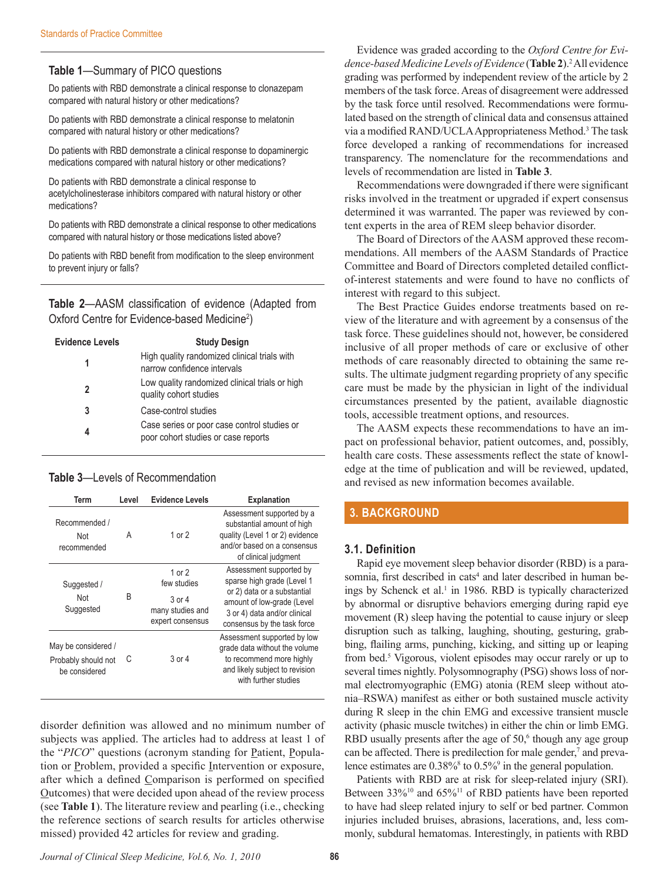## **Table 1**—Summary of PICO questions

Do patients with RBD demonstrate a clinical response to clonazepam compared with natural history or other medications?

Do patients with RBD demonstrate a clinical response to melatonin compared with natural history or other medications?

Do patients with RBD demonstrate a clinical response to dopaminergic medications compared with natural history or other medications?

Do patients with RBD demonstrate a clinical response to acetylcholinesterase inhibitors compared with natural history or other medications?

Do patients with RBD demonstrate a clinical response to other medications compared with natural history or those medications listed above?

Do patients with RBD benefit from modification to the sleep environment to prevent injury or falls?

**Table 2**—AASM classification of evidence (Adapted from Oxford Centre for Evidence-based Medicine<sup>2</sup>)

| <b>Evidence Levels</b> | <b>Study Design</b>                                                                |
|------------------------|------------------------------------------------------------------------------------|
| 1                      | High quality randomized clinical trials with<br>narrow confidence intervals        |
| 2                      | Low quality randomized clinical trials or high<br>quality cohort studies           |
| 3                      | Case-control studies                                                               |
| 4                      | Case series or poor case control studies or<br>poor cohort studies or case reports |

### **Table 3**—Levels of Recommendation

| Term                                                        | Level | <b>Evidence Levels</b>                                                    | <b>Explanation</b>                                                                                                                                                                |
|-------------------------------------------------------------|-------|---------------------------------------------------------------------------|-----------------------------------------------------------------------------------------------------------------------------------------------------------------------------------|
| Recommended /<br>Not<br>recommended                         | A     | 1 or $2$                                                                  | Assessment supported by a<br>substantial amount of high<br>quality (Level 1 or 2) evidence<br>and/or based on a consensus<br>of clinical judgment                                 |
| Suggested /<br>Not<br>Suggested                             | B     | 1 or $2$<br>few studies<br>3 or 4<br>many studies and<br>expert consensus | Assessment supported by<br>sparse high grade (Level 1<br>or 2) data or a substantial<br>amount of low-grade (Level<br>3 or 4) data and/or clinical<br>consensus by the task force |
| May be considered /<br>Probably should not<br>be considered | С     | 3 or 4                                                                    | Assessment supported by low<br>grade data without the volume<br>to recommend more highly<br>and likely subject to revision<br>with further studies                                |

disorder definition was allowed and no minimum number of subjects was applied. The articles had to address at least 1 of the "*PICO*" questions (acronym standing for <u>P</u>atient, Population or Problem, provided a specific Intervention or exposure, after which a defined Comparison is performed on specified Outcomes) that were decided upon ahead of the review process (see **Table 1**). The literature review and pearling (i.e., checking the reference sections of search results for articles otherwise missed) provided 42 articles for review and grading.

Evidence was graded according to the *Oxford Centre for Evi*dence-based Medicine Levels of Evidence (Table 2).<sup>2</sup> All evidence grading was performed by independent review of the article by 2 members of the task force. Areas of disagreement were addressed by the task force until resolved. Recommendations were formulated based on the strength of clinical data and consensus attained via a modified RAND/UCLA Appropriateness Method.<sup>3</sup> The task force developed a ranking of recommendations for increased transparency. The nomenclature for the recommendations and levels of recommendation are listed in **Table 3**.

Recommendations were downgraded if there were significant risks involved in the treatment or upgraded if expert consensus determined it was warranted. The paper was reviewed by content experts in the area of REM sleep behavior disorder.

The Board of Directors of the AASM approved these recommendations. All members of the AASM Standards of Practice Committee and Board of Directors completed detailed conflictof-interest statements and were found to have no conflicts of interest with regard to this subject.

The Best Practice Guides endorse treatments based on review of the literature and with agreement by a consensus of the task force. These guidelines should not, however, be considered inclusive of all proper methods of care or exclusive of other methods of care reasonably directed to obtaining the same results. The ultimate judgment regarding propriety of any specific care must be made by the physician in light of the individual circumstances presented by the patient, available diagnostic tools, accessible treatment options, and resources.

The AASM expects these recommendations to have an impact on professional behavior, patient outcomes, and, possibly, health care costs. These assessments reflect the state of knowledge at the time of publication and will be reviewed, updated, and revised as new information becomes available.

## **3. Background**

#### **3.1. Definition**

Rapid eye movement sleep behavior disorder (RBD) is a parasomnia, first described in cats<sup>4</sup> and later described in human beings by Schenck et al.<sup>1</sup> in 1986. RBD is typically characterized by abnormal or disruptive behaviors emerging during rapid eye movement (R) sleep having the potential to cause injury or sleep disruption such as talking, laughing, shouting, gesturing, grabbing, flailing arms, punching, kicking, and sitting up or leaping from bed.<sup>5</sup> Vigorous, violent episodes may occur rarely or up to several times nightly. Polysomnography (PSG) shows loss of normal electromyographic (EMG) atonia (REM sleep without atonia–RSWA) manifest as either or both sustained muscle activity during R sleep in the chin EMG and excessive transient muscle activity (phasic muscle twitches) in either the chin or limb EMG. RBD usually presents after the age of  $50<sup>6</sup>$  though any age group can be affected. There is predilection for male gender,<sup>7</sup> and prevalence estimates are  $0.38\%$ <sup>8</sup> to  $0.5\%$ <sup>9</sup> in the general population.

Patients with RBD are at risk for sleep-related injury (SRI). Between 33%<sup>10</sup> and 65%<sup>11</sup> of RBD patients have been reported to have had sleep related injury to self or bed partner. Common injuries included bruises, abrasions, lacerations, and, less commonly, subdural hematomas. Interestingly, in patients with RBD

*Journal of Clinical Sleep Medicine, Vol.6, No. 1, 2010* **86**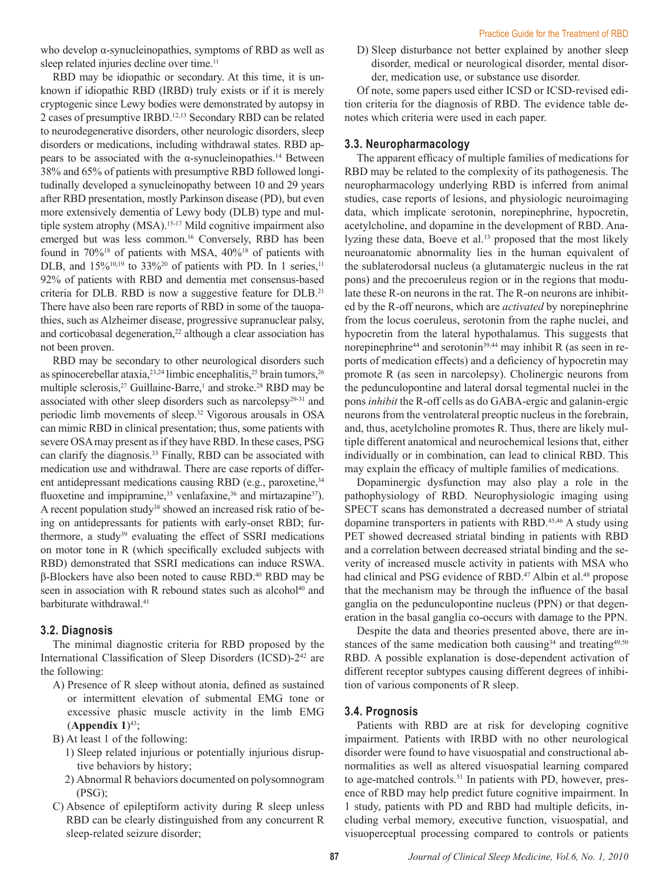who develop α-synucleinopathies, symptoms of RBD as well as sleep related injuries decline over time.<sup>11</sup>

RBD may be idiopathic or secondary. At this time, it is unknown if idiopathic RBD (IRBD) truly exists or if it is merely cryptogenic since Lewy bodies were demonstrated by autopsy in 2 cases of presumptive IRBD.12,13 Secondary RBD can be related to neurodegenerative disorders, other neurologic disorders, sleep disorders or medications, including withdrawal states. RBD appears to be associated with the α-synucleinopathies.<sup>14</sup> Between 38% and 65% of patients with presumptive RBD followed longitudinally developed a synucleinopathy between 10 and 29 years after RBD presentation, mostly Parkinson disease (PD), but even more extensively dementia of Lewy body (DLB) type and multiple system atrophy (MSA).<sup>15-17</sup> Mild cognitive impairment also emerged but was less common.<sup>16</sup> Conversely, RBD has been found in 70%<sup>18</sup> of patients with MSA, 40%<sup>18</sup> of patients with DLB, and  $15\%^{10,19}$  to  $33\%^{20}$  of patients with PD. In 1 series,<sup>11</sup> 92% of patients with RBD and dementia met consensus-based criteria for DLB. RBD is now a suggestive feature for DLB.<sup>21</sup> There have also been rare reports of RBD in some of the tauopathies, such as Alzheimer disease, progressive supranuclear palsy, and corticobasal degeneration,<sup>22</sup> although a clear association has not been proven.

RBD may be secondary to other neurological disorders such as spinocerebellar ataxia,<sup>23,24</sup> limbic encephalitis,<sup>25</sup> brain tumors,<sup>26</sup> multiple sclerosis,<sup>27</sup> Guillaine-Barre,<sup>1</sup> and stroke.<sup>28</sup> RBD may be associated with other sleep disorders such as narcolepsy<sup>29-31</sup> and periodic limb movements of sleep.32 Vigorous arousals in OSA can mimic RBD in clinical presentation; thus, some patients with severe OSA may present as if they have RBD. In these cases, PSG can clarify the diagnosis.<sup>33</sup> Finally, RBD can be associated with medication use and withdrawal. There are case reports of different antidepressant medications causing RBD (e.g., paroxetine, <sup>34</sup>) fluoxetine and impipramine,  $35$  venlafaxine,  $36$  and mirtazapine  $37$ ). A recent population study<sup>38</sup> showed an increased risk ratio of being on antidepressants for patients with early-onset RBD; furthermore, a study<sup>39</sup> evaluating the effect of SSRI medications on motor tone in R (which specifically excluded subjects with RBD) demonstrated that SSRI medications can induce RSWA. β-Blockers have also been noted to cause RBD.40 RBD may be seen in association with R rebound states such as alcohol<sup>40</sup> and barbiturate withdrawal.<sup>41</sup>

#### **3.2. Diagnosis**

The minimal diagnostic criteria for RBD proposed by the International Classification of Sleep Disorders (ICSD)-2<sup>42</sup> are the following:

- A) Presence of R sleep without atonia, defined as sustained or intermittent elevation of submental EMG tone or excessive phasic muscle activity in the limb EMG  $(A$ ppendix  $1)^{43}$ ;
- B) At least 1 of the following:
	- 1) Sleep related injurious or potentially injurious disruptive behaviors by history;
	- 2) Abnormal R behaviors documented on polysomnogram (PSG);
- C) Absence of epileptiform activity during R sleep unless RBD can be clearly distinguished from any concurrent R sleep-related seizure disorder;

D) Sleep disturbance not better explained by another sleep disorder, medical or neurological disorder, mental disorder, medication use, or substance use disorder.

Of note, some papers used either ICSD or ICSD-revised edition criteria for the diagnosis of RBD. The evidence table denotes which criteria were used in each paper.

#### **3.3. Neuropharmacology**

The apparent efficacy of multiple families of medications for RBD may be related to the complexity of its pathogenesis. The neuropharmacology underlying RBD is inferred from animal studies, case reports of lesions, and physiologic neuroimaging data, which implicate serotonin, norepinephrine, hypocretin, acetylcholine, and dopamine in the development of RBD. Analyzing these data, Boeve et al.<sup>13</sup> proposed that the most likely neuroanatomic abnormality lies in the human equivalent of the sublaterodorsal nucleus (a glutamatergic nucleus in the rat pons) and the precoeruleus region or in the regions that modulate these R-on neurons in the rat. The R-on neurons are inhibited by the R-off neurons, which are *activated* by norepinephrine from the locus coeruleus, serotonin from the raphe nuclei, and hypocretin from the lateral hypothalamus. This suggests that norepinephrine<sup>44</sup> and serotonin<sup>39,44</sup> may inhibit R (as seen in reports of medication effects) and a deficiency of hypocretin may promote R (as seen in narcolepsy). Cholinergic neurons from the pedunculopontine and lateral dorsal tegmental nuclei in the pons *inhibit* the R-off cells as do GABA-ergic and galanin-ergic neurons from the ventrolateral preoptic nucleus in the forebrain, and, thus, acetylcholine promotes R. Thus, there are likely multiple different anatomical and neurochemical lesions that, either individually or in combination, can lead to clinical RBD. This may explain the efficacy of multiple families of medications.

Dopaminergic dysfunction may also play a role in the pathophysiology of RBD. Neurophysiologic imaging using SPECT scans has demonstrated a decreased number of striatal dopamine transporters in patients with RBD.<sup>45,46</sup> A study using PET showed decreased striatal binding in patients with RBD and a correlation between decreased striatal binding and the severity of increased muscle activity in patients with MSA who had clinical and PSG evidence of RBD.<sup>47</sup> Albin et al.<sup>48</sup> propose that the mechanism may be through the influence of the basal ganglia on the pedunculopontine nucleus (PPN) or that degeneration in the basal ganglia co-occurs with damage to the PPN.

Despite the data and theories presented above, there are instances of the same medication both causing $34$  and treating $49,50$ RBD. A possible explanation is dose-dependent activation of different receptor subtypes causing different degrees of inhibition of various components of R sleep.

#### **3.4. Prognosis**

Patients with RBD are at risk for developing cognitive impairment. Patients with IRBD with no other neurological disorder were found to have visuospatial and constructional abnormalities as well as altered visuospatial learning compared to age-matched controls.<sup>51</sup> In patients with PD, however, presence of RBD may help predict future cognitive impairment. In 1 study, patients with PD and RBD had multiple deficits, including verbal memory, executive function, visuospatial, and visuoperceptual processing compared to controls or patients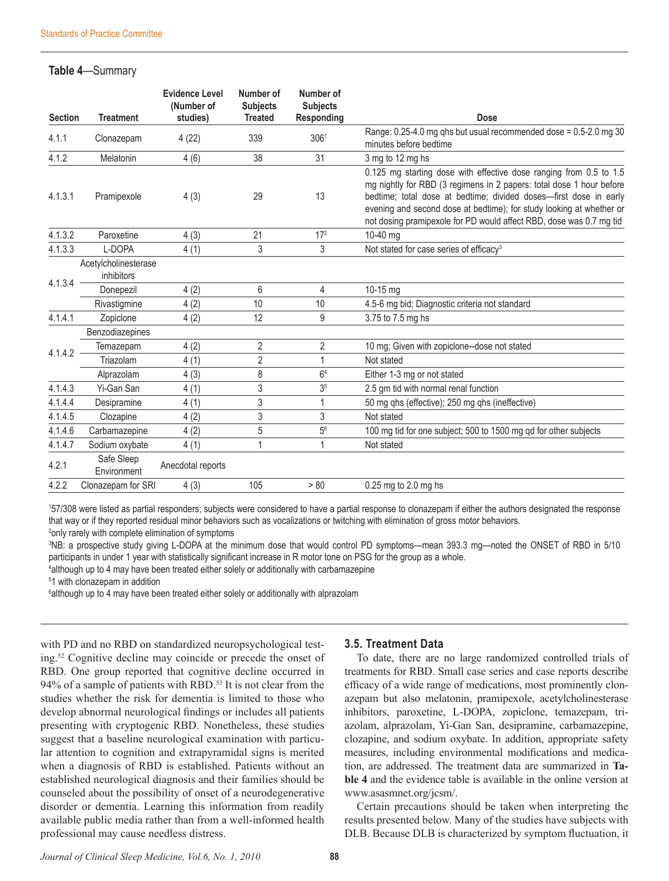## **Table 4**—Summary

| <b>Section</b> | <b>Treatment</b>                   | <b>Evidence Level</b><br>(Number of<br>studies) | Number of<br><b>Subjects</b><br><b>Treated</b> | Number of<br><b>Subjects</b><br>Responding | <b>Dose</b>                                                                                                                                                                                                                                                                                                                                                    |
|----------------|------------------------------------|-------------------------------------------------|------------------------------------------------|--------------------------------------------|----------------------------------------------------------------------------------------------------------------------------------------------------------------------------------------------------------------------------------------------------------------------------------------------------------------------------------------------------------------|
| 4.1.1          | Clonazepam                         | 4(22)                                           | 339                                            | 306 <sup>1</sup>                           | Range: 0.25-4.0 mg qhs but usual recommended dose = 0.5-2.0 mg 30<br>minutes before bedtime                                                                                                                                                                                                                                                                    |
| 4.1.2          | Melatonin                          | 4(6)                                            | 38                                             | 31                                         | 3 mg to 12 mg hs                                                                                                                                                                                                                                                                                                                                               |
| 4.1.3.1        | Pramipexole                        | 4(3)                                            | 29                                             | 13                                         | 0.125 mg starting dose with effective dose ranging from 0.5 to 1.5<br>mg nightly for RBD (3 regimens in 2 papers: total dose 1 hour before<br>bedtime; total dose at bedtime; divided doses-first dose in early<br>evening and second dose at bedtime); for study looking at whether or<br>not dosing pramipexole for PD would affect RBD, dose was 0.7 mg tid |
| 4.1.3.2        | Paroxetine                         | 4(3)                                            | 21                                             | 17 <sup>2</sup>                            | 10-40 ma                                                                                                                                                                                                                                                                                                                                                       |
| 4.1.3.3        | L-DOPA                             | 4(1)                                            | 3                                              | 3                                          | Not stated for case series of efficacy <sup>3</sup>                                                                                                                                                                                                                                                                                                            |
|                | Acetylcholinesterase<br>inhibitors |                                                 |                                                |                                            |                                                                                                                                                                                                                                                                                                                                                                |
| 4.1.3.4        | Donepezil                          | 4(2)                                            | 6                                              | 4                                          | $10-15$ mg                                                                                                                                                                                                                                                                                                                                                     |
|                | Rivastigmine                       | 4(2)                                            | 10                                             | 10                                         | 4.5-6 mg bid; Diagnostic criteria not standard                                                                                                                                                                                                                                                                                                                 |
| 4.1.4.1        | Zopiclone                          | 4(2)                                            | 12                                             | 9                                          | 3.75 to 7.5 mg hs                                                                                                                                                                                                                                                                                                                                              |
|                | Benzodiazepines                    |                                                 |                                                |                                            |                                                                                                                                                                                                                                                                                                                                                                |
| 4.1.4.2        | Temazepam                          | 4(2)                                            | 2                                              | 2                                          | 10 mg; Given with zopiclone--dose not stated                                                                                                                                                                                                                                                                                                                   |
|                | Triazolam                          | 4(1)                                            | $\overline{2}$                                 | 1                                          | Not stated                                                                                                                                                                                                                                                                                                                                                     |
|                | Alprazolam                         | 4(3)                                            | 8                                              | 6 <sup>4</sup>                             | Either 1-3 mg or not stated                                                                                                                                                                                                                                                                                                                                    |
| 4.1.4.3        | Yi-Gan San                         | 4(1)                                            | 3                                              | 3 <sup>5</sup>                             | 2.5 gm tid with normal renal function                                                                                                                                                                                                                                                                                                                          |
| 4.1.4.4        | Desipramine                        | 4(1)                                            | 3                                              | 1                                          | 50 mg qhs (effective); 250 mg qhs (ineffective)                                                                                                                                                                                                                                                                                                                |
| 4.1.4.5        | Clozapine                          | 4(2)                                            | 3                                              | 3                                          | Not stated                                                                                                                                                                                                                                                                                                                                                     |
| 4.1.4.6        | Carbamazepine                      | 4(2)                                            | 5                                              | $5^6$                                      | 100 mg tid for one subject; 500 to 1500 mg qd for other subjects                                                                                                                                                                                                                                                                                               |
| 4.1.4.7        | Sodium oxybate                     | 4(1)                                            | 1                                              | 1                                          | Not stated                                                                                                                                                                                                                                                                                                                                                     |
| 4.2.1          | Safe Sleep<br>Environment          | Anecdotal reports                               |                                                |                                            |                                                                                                                                                                                                                                                                                                                                                                |
| 4.2.2          | Clonazepam for SRI                 | 4(3)                                            | 105                                            | > 80                                       | 0.25 mg to 2.0 mg hs                                                                                                                                                                                                                                                                                                                                           |

1 57/308 were listed as partial responders; subjects were considered to have a partial response to clonazepam if either the authors designated the response that way or if they reported residual minor behaviors such as vocalizations or twitching with elimination of gross motor behaviors.

<sup>2</sup>only rarely with complete elimination of symptoms

3 NB: a prospective study giving L-DOPA at the minimum dose that would control PD symptoms—mean 393.3 mg—noted the ONSET of RBD in 5/10 participants in under 1 year with statistically significant increase in R motor tone on PSG for the group as a whole.

4 although up to 4 may have been treated either solely or additionally with carbamazepine

5 1 with clonazepam in addition

<sup>6</sup>although up to 4 may have been treated either solely or additionally with alprazolam

with PD and no RBD on standardized neuropsychological testing.52 Cognitive decline may coincide or precede the onset of RBD. One group reported that cognitive decline occurred in 94% of a sample of patients with RBD.<sup>53</sup> It is not clear from the studies whether the risk for dementia is limited to those who develop abnormal neurological findings or includes all patients presenting with cryptogenic RBD. Nonetheless, these studies suggest that a baseline neurological examination with particular attention to cognition and extrapyramidal signs is merited when a diagnosis of RBD is established. Patients without an established neurological diagnosis and their families should be counseled about the possibility of onset of a neurodegenerative disorder or dementia. Learning this information from readily available public media rather than from a well-informed health professional may cause needless distress.

## **3.5. Treatment Data**

To date, there are no large randomized controlled trials of treatments for RBD. Small case series and case reports describe efficacy of a wide range of medications, most prominently clonazepam but also melatonin, pramipexole, acetylcholinesterase inhibitors, paroxetine, L-DOPA, zopiclone, temazepam, triazolam, alprazolam, Yi-Gan San, desipramine, carbamazepine, clozapine, and sodium oxybate. In addition, appropriate safety measures, including environmental modifications and medication, are addressed. The treatment data are summarized in **Table 4** and the evidence table is available in the online version at www.asasmnet.org/jcsm/.

Certain precautions should be taken when interpreting the results presented below. Many of the studies have subjects with DLB. Because DLB is characterized by symptom fluctuation, it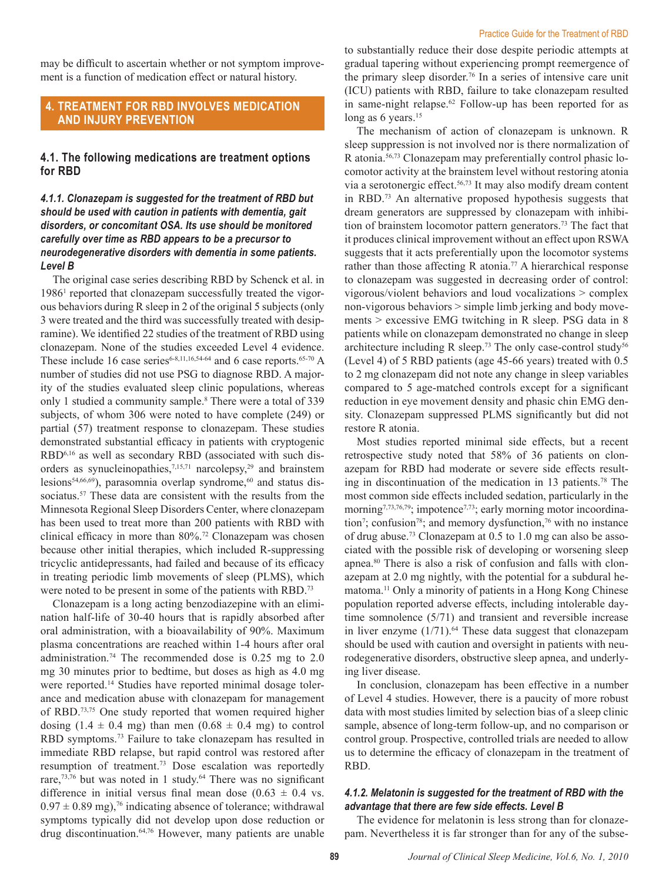may be difficult to ascertain whether or not symptom improvement is a function of medication effect or natural history.

### **4. Treatment for RBD involves medication and injury prevention**

#### **4.1. The following medications are treatment options for RBD**

#### *4.1.1. Clonazepam is suggested for the treatment of RBD but should be used with caution in patients with dementia, gait disorders, or concomitant OSA. Its use should be monitored carefully over time as RBD appears to be a precursor to neurodegenerative disorders with dementia in some patients. Level B*

The original case series describing RBD by Schenck et al. in 1986<sup>1</sup> reported that clonazepam successfully treated the vigorous behaviors during R sleep in 2 of the original 5 subjects (only 3 were treated and the third was successfully treated with desipramine). We identified 22 studies of the treatment of RBD using clonazepam. None of the studies exceeded Level 4 evidence. These include 16 case series<sup>6-8,11,16,54-64</sup> and 6 case reports.<sup>65-70</sup> A number of studies did not use PSG to diagnose RBD. A majority of the studies evaluated sleep clinic populations, whereas only 1 studied a community sample.<sup>8</sup> There were a total of 339 subjects, of whom 306 were noted to have complete (249) or partial (57) treatment response to clonazepam. These studies demonstrated substantial efficacy in patients with cryptogenic RBD6,16 as well as secondary RBD (associated with such disorders as synucleinopathies,<sup>7,15,71</sup> narcolepsy,<sup>29</sup> and brainstem lesions $54,66,69$ ), parasomnia overlap syndrome, $60$  and status dissociatus.<sup>57</sup> These data are consistent with the results from the Minnesota Regional Sleep Disorders Center, where clonazepam has been used to treat more than 200 patients with RBD with clinical efficacy in more than 80%.<sup>72</sup> Clonazepam was chosen because other initial therapies, which included R-suppressing tricyclic antidepressants, had failed and because of its efficacy in treating periodic limb movements of sleep (PLMS), which were noted to be present in some of the patients with RBD.<sup>73</sup>

Clonazepam is a long acting benzodiazepine with an elimination half-life of 30-40 hours that is rapidly absorbed after oral administration, with a bioavailability of 90%. Maximum plasma concentrations are reached within 1-4 hours after oral administration.74 The recommended dose is 0.25 mg to 2.0 mg 30 minutes prior to bedtime, but doses as high as 4.0 mg were reported.<sup>14</sup> Studies have reported minimal dosage tolerance and medication abuse with clonazepam for management of RBD.73,75 One study reported that women required higher dosing  $(1.4 \pm 0.4 \text{ mg})$  than men  $(0.68 \pm 0.4 \text{ mg})$  to control RBD symptoms.73 Failure to take clonazepam has resulted in immediate RBD relapse, but rapid control was restored after resumption of treatment.73 Dose escalation was reportedly rare,<sup>73,76</sup> but was noted in 1 study.<sup>64</sup> There was no significant difference in initial versus final mean dose  $(0.63 \pm 0.4 \text{ vs.})$  $0.97 \pm 0.89$  mg),<sup>76</sup> indicating absence of tolerance; withdrawal symptoms typically did not develop upon dose reduction or drug discontinuation.<sup>64,76</sup> However, many patients are unable

to substantially reduce their dose despite periodic attempts at gradual tapering without experiencing prompt reemergence of the primary sleep disorder.<sup>76</sup> In a series of intensive care unit (ICU) patients with RBD, failure to take clonazepam resulted in same-night relapse.<sup>62</sup> Follow-up has been reported for as long as 6 years.<sup>15</sup>

The mechanism of action of clonazepam is unknown. R sleep suppression is not involved nor is there normalization of R atonia.56,73 Clonazepam may preferentially control phasic locomotor activity at the brainstem level without restoring atonia via a serotonergic effect.<sup>56,73</sup> It may also modify dream content in RBD.73 An alternative proposed hypothesis suggests that dream generators are suppressed by clonazepam with inhibition of brainstem locomotor pattern generators.73 The fact that it produces clinical improvement without an effect upon RSWA suggests that it acts preferentially upon the locomotor systems rather than those affecting R atonia.<sup>77</sup> A hierarchical response to clonazepam was suggested in decreasing order of control: vigorous/violent behaviors and loud vocalizations > complex non-vigorous behaviors > simple limb jerking and body movements > excessive EMG twitching in R sleep. PSG data in 8 patients while on clonazepam demonstrated no change in sleep architecture including R sleep.<sup>73</sup> The only case-control study<sup>56</sup> (Level 4) of 5 RBD patients (age 45-66 years) treated with 0.5 to 2 mg clonazepam did not note any change in sleep variables compared to 5 age-matched controls except for a significant reduction in eye movement density and phasic chin EMG density. Clonazepam suppressed PLMS significantly but did not restore R atonia.

Most studies reported minimal side effects, but a recent retrospective study noted that 58% of 36 patients on clonazepam for RBD had moderate or severe side effects resulting in discontinuation of the medication in 13 patients.<sup>78</sup> The most common side effects included sedation, particularly in the morning<sup>7,73,76,79</sup>; impotence<sup>7,73</sup>; early morning motor incoordination<sup>7</sup>; confusion<sup>78</sup>; and memory dysfunction,<sup>76</sup> with no instance of drug abuse.73 Clonazepam at 0.5 to 1.0 mg can also be associated with the possible risk of developing or worsening sleep apnea.80 There is also a risk of confusion and falls with clonazepam at 2.0 mg nightly, with the potential for a subdural hematoma.<sup>11</sup> Only a minority of patients in a Hong Kong Chinese population reported adverse effects, including intolerable daytime somnolence (5/71) and transient and reversible increase in liver enzyme  $(1/71)$ .<sup>64</sup> These data suggest that clonazepam should be used with caution and oversight in patients with neurodegenerative disorders, obstructive sleep apnea, and underlying liver disease.

In conclusion, clonazepam has been effective in a number of Level 4 studies. However, there is a paucity of more robust data with most studies limited by selection bias of a sleep clinic sample, absence of long-term follow-up, and no comparison or control group. Prospective, controlled trials are needed to allow us to determine the efficacy of clonazepam in the treatment of RBD.

#### *4.1.2. Melatonin is suggested for the treatment of RBD with the advantage that there are few side effects. Level B*

The evidence for melatonin is less strong than for clonazepam. Nevertheless it is far stronger than for any of the subse-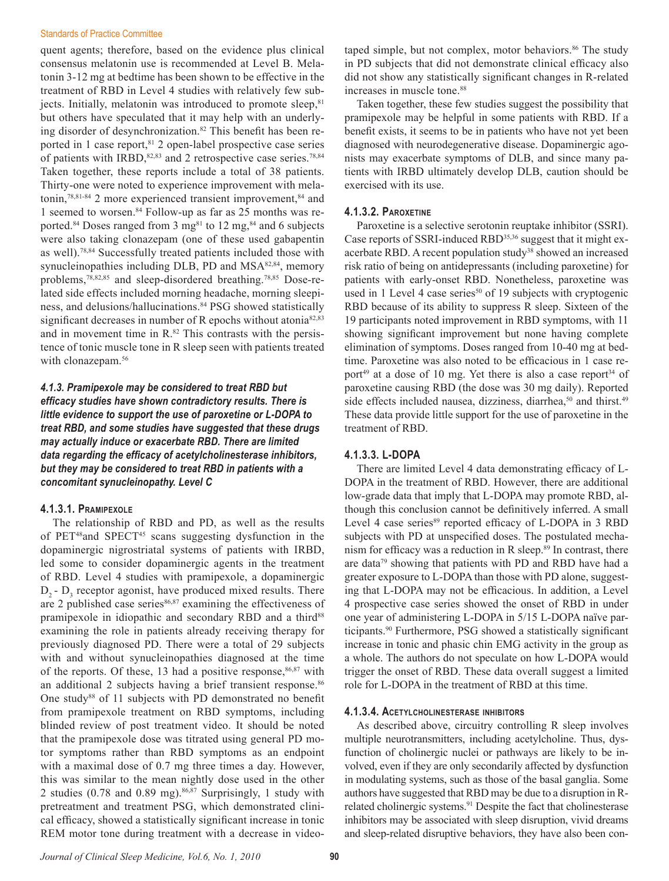quent agents; therefore, based on the evidence plus clinical consensus melatonin use is recommended at Level B. Melatonin 3-12 mg at bedtime has been shown to be effective in the treatment of RBD in Level 4 studies with relatively few subjects. Initially, melatonin was introduced to promote sleep, $81$ but others have speculated that it may help with an underlying disorder of desynchronization.<sup>82</sup> This benefit has been reported in 1 case report,<sup>81</sup> 2 open-label prospective case series of patients with IRBD, $82,83$  and 2 retrospective case series.<sup>78,84</sup> Taken together, these reports include a total of 38 patients. Thirty-one were noted to experience improvement with melatonin,<sup>78,81-84</sup> 2 more experienced transient improvement, $84$  and 1 seemed to worsen.84 Follow-up as far as 25 months was reported.<sup>84</sup> Doses ranged from 3 mg<sup>81</sup> to 12 mg,<sup>84</sup> and 6 subjects were also taking clonazepam (one of these used gabapentin as well).78,84 Successfully treated patients included those with synucleinopathies including DLB, PD and MSA<sup>82,84</sup>, memory problems,78,82,85 and sleep-disordered breathing.78,85 Dose-related side effects included morning headache, morning sleepiness, and delusions/hallucinations.<sup>84</sup> PSG showed statistically significant decreases in number of R epochs without atonia<sup>82,83</sup> and in movement time in  $R^{82}$ . This contrasts with the persistence of tonic muscle tone in R sleep seen with patients treated with clonazepam.<sup>56</sup>

### *4.1.3. Pramipexole may be considered to treat RBD but efficacy studies have shown contradictory results. There is little evidence to support the use of paroxetine or L-DOPA to treat RBD, and some studies have suggested that these drugs may actually induce or exacerbate RBD. There are limited data regarding the efficacy of acetylcholinesterase inhibitors, but they may be considered to treat RBD in patients with a concomitant synucleinopathy. Level C*

#### **4.1.3.1. Pramipexole**

The relationship of RBD and PD, as well as the results of PET48and SPECT45 scans suggesting dysfunction in the dopaminergic nigrostriatal systems of patients with IRBD, led some to consider dopaminergic agents in the treatment of RBD. Level 4 studies with pramipexole, a dopaminergic  $D_2$  -  $D_3$  receptor agonist, have produced mixed results. There are 2 published case series $86,87$  examining the effectiveness of pramipexole in idiopathic and secondary RBD and a third<sup>88</sup> examining the role in patients already receiving therapy for previously diagnosed PD. There were a total of 29 subjects with and without synucleinopathies diagnosed at the time of the reports. Of these, 13 had a positive response, $86,87$  with an additional 2 subjects having a brief transient response.<sup>86</sup> One study<sup>88</sup> of 11 subjects with PD demonstrated no benefit from pramipexole treatment on RBD symptoms, including blinded review of post treatment video. It should be noted that the pramipexole dose was titrated using general PD motor symptoms rather than RBD symptoms as an endpoint with a maximal dose of 0.7 mg three times a day. However, this was similar to the mean nightly dose used in the other 2 studies (0.78 and 0.89 mg).86,87 Surprisingly, 1 study with pretreatment and treatment PSG, which demonstrated clinical efficacy, showed a statistically significant increase in tonic REM motor tone during treatment with a decrease in video-

taped simple, but not complex, motor behaviors.<sup>86</sup> The study in PD subjects that did not demonstrate clinical efficacy also did not show any statistically significant changes in R-related increases in muscle tone.<sup>88</sup>

Taken together, these few studies suggest the possibility that pramipexole may be helpful in some patients with RBD. If a benefit exists, it seems to be in patients who have not yet been diagnosed with neurodegenerative disease. Dopaminergic agonists may exacerbate symptoms of DLB, and since many patients with IRBD ultimately develop DLB, caution should be exercised with its use.

#### **4.1.3.2. Paroxetine**

Paroxetine is a selective serotonin reuptake inhibitor (SSRI). Case reports of SSRI-induced RBD<sup>35,36</sup> suggest that it might exacerbate RBD. A recent population study<sup>38</sup> showed an increased risk ratio of being on antidepressants (including paroxetine) for patients with early-onset RBD. Nonetheless, paroxetine was used in 1 Level 4 case series<sup>50</sup> of 19 subjects with cryptogenic RBD because of its ability to suppress R sleep. Sixteen of the 19 participants noted improvement in RBD symptoms, with 11 showing significant improvement but none having complete elimination of symptoms. Doses ranged from 10-40 mg at bedtime. Paroxetine was also noted to be efficacious in 1 case report<sup>49</sup> at a dose of 10 mg. Yet there is also a case report<sup>34</sup> of paroxetine causing RBD (the dose was 30 mg daily). Reported side effects included nausea, dizziness, diarrhea,<sup>50</sup> and thirst.<sup>49</sup> These data provide little support for the use of paroxetine in the treatment of RBD.

#### **4.1.3.3. L-DOPA**

There are limited Level 4 data demonstrating efficacy of L-DOPA in the treatment of RBD. However, there are additional low-grade data that imply that L-DOPA may promote RBD, although this conclusion cannot be definitively inferred. A small Level 4 case series<sup>89</sup> reported efficacy of L-DOPA in 3 RBD subjects with PD at unspecified doses. The postulated mechanism for efficacy was a reduction in R sleep.<sup>89</sup> In contrast, there are data79 showing that patients with PD and RBD have had a greater exposure to L-DOPA than those with PD alone, suggesting that L-DOPA may not be efficacious. In addition, a Level 4 prospective case series showed the onset of RBD in under one year of administering L-DOPA in 5/15 L-DOPA naïve participants.90 Furthermore, PSG showed a statistically significant increase in tonic and phasic chin EMG activity in the group as a whole. The authors do not speculate on how L-DOPA would trigger the onset of RBD. These data overall suggest a limited role for L-DOPA in the treatment of RBD at this time.

#### **4.1.3.4. Acetylcholinesterase inhibitors**

As described above, circuitry controlling R sleep involves multiple neurotransmitters, including acetylcholine. Thus, dysfunction of cholinergic nuclei or pathways are likely to be involved, even if they are only secondarily affected by dysfunction in modulating systems, such as those of the basal ganglia. Some authors have suggested that RBD may be due to a disruption in Rrelated cholinergic systems.<sup>91</sup> Despite the fact that cholinesterase inhibitors may be associated with sleep disruption, vivid dreams and sleep-related disruptive behaviors, they have also been con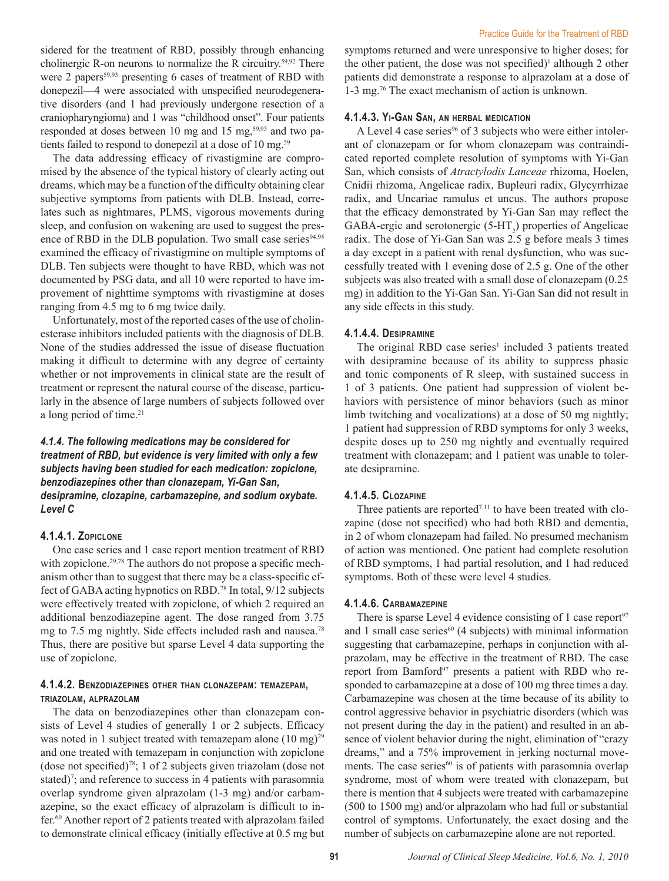sidered for the treatment of RBD, possibly through enhancing cholinergic R-on neurons to normalize the R circuitry.59,92 There were 2 papers<sup>59,93</sup> presenting 6 cases of treatment of RBD with donepezil—4 were associated with unspecified neurodegenerative disorders (and 1 had previously undergone resection of a craniopharyngioma) and 1 was "childhood onset". Four patients responded at doses between 10 mg and 15 mg,<sup>59,93</sup> and two patients failed to respond to donepezil at a dose of 10 mg.<sup>59</sup>

The data addressing efficacy of rivastigmine are compromised by the absence of the typical history of clearly acting out dreams, which may be a function of the difficulty obtaining clear subjective symptoms from patients with DLB. Instead, correlates such as nightmares, PLMS, vigorous movements during sleep, and confusion on wakening are used to suggest the presence of RBD in the DLB population. Two small case series<sup>94,95</sup> examined the efficacy of rivastigmine on multiple symptoms of DLB. Ten subjects were thought to have RBD, which was not documented by PSG data, and all 10 were reported to have improvement of nighttime symptoms with rivastigmine at doses ranging from 4.5 mg to 6 mg twice daily.

Unfortunately, most of the reported cases of the use of cholinesterase inhibitors included patients with the diagnosis of DLB. None of the studies addressed the issue of disease fluctuation making it difficult to determine with any degree of certainty whether or not improvements in clinical state are the result of treatment or represent the natural course of the disease, particularly in the absence of large numbers of subjects followed over a long period of time.<sup>21</sup>

### *4.1.4. The following medications may be considered for treatment of RBD, but evidence is very limited with only a few subjects having been studied for each medication: zopiclone, benzodiazepines other than clonazepam, Yi-Gan San, desipramine, clozapine, carbamazepine, and sodium oxybate. Level C*

#### **4.1.4.1. Zopiclone**

One case series and 1 case report mention treatment of RBD with zopiclone.<sup>29,78</sup> The authors do not propose a specific mechanism other than to suggest that there may be a class-specific effect of GABA acting hypnotics on RBD.78 In total, 9/12 subjects were effectively treated with zopiclone, of which 2 required an additional benzodiazepine agent. The dose ranged from 3.75 mg to 7.5 mg nightly. Side effects included rash and nausea.<sup>78</sup> Thus, there are positive but sparse Level 4 data supporting the use of zopiclone.

#### **4.1.4.2. Benzodiazepines other than clonazepam: temazepam, triazolam, alprazolam**

The data on benzodiazepines other than clonazepam consists of Level 4 studies of generally 1 or 2 subjects. Efficacy was noted in 1 subject treated with temazepam alone  $(10 \text{ mg})^{29}$ and one treated with temazepam in conjunction with zopiclone (dose not specified)78; 1 of 2 subjects given triazolam (dose not stated)<sup>7</sup>; and reference to success in 4 patients with parasomnia overlap syndrome given alprazolam (1-3 mg) and/or carbamazepine, so the exact efficacy of alprazolam is difficult to infer.60 Another report of 2 patients treated with alprazolam failed to demonstrate clinical efficacy (initially effective at 0.5 mg but

symptoms returned and were unresponsive to higher doses; for the other patient, the dose was not specified)<sup>1</sup> although 2 other patients did demonstrate a response to alprazolam at a dose of 1-3 mg.76 The exact mechanism of action is unknown.

#### **4.1.4.3. Yi-Gan San, an herbal medication**

A Level 4 case series<sup>96</sup> of 3 subjects who were either intolerant of clonazepam or for whom clonazepam was contraindicated reported complete resolution of symptoms with Yi-Gan San, which consists of *Atractylodis Lanceae* rhizoma, Hoelen, Cnidii rhizoma, Angelicae radix, Bupleuri radix, Glycyrrhizae radix, and Uncariae ramulus et uncus. The authors propose that the efficacy demonstrated by Yi-Gan San may reflect the GABA-ergic and serotonergic  $(5-HT_2)$  properties of Angelicae radix. The dose of Yi-Gan San was 2.5 g before meals 3 times a day except in a patient with renal dysfunction, who was successfully treated with 1 evening dose of 2.5 g. One of the other subjects was also treated with a small dose of clonazepam (0.25 mg) in addition to the Yi-Gan San. Yi-Gan San did not result in any side effects in this study.

#### **4.1.4.4. Desipramine**

The original RBD case series<sup>1</sup> included 3 patients treated with desipramine because of its ability to suppress phasic and tonic components of R sleep, with sustained success in 1 of 3 patients. One patient had suppression of violent behaviors with persistence of minor behaviors (such as minor limb twitching and vocalizations) at a dose of 50 mg nightly; 1 patient had suppression of RBD symptoms for only 3 weeks, despite doses up to 250 mg nightly and eventually required treatment with clonazepam; and 1 patient was unable to tolerate desipramine.

#### **4.1.4.5. Clozapine**

Three patients are reported<sup> $7,11$ </sup> to have been treated with clozapine (dose not specified) who had both RBD and dementia, in 2 of whom clonazepam had failed. No presumed mechanism of action was mentioned. One patient had complete resolution of RBD symptoms, 1 had partial resolution, and 1 had reduced symptoms. Both of these were level 4 studies.

#### **4.1.4.6. Carbamazepine**

There is sparse Level 4 evidence consisting of 1 case report $97$ and 1 small case series $60$  (4 subjects) with minimal information suggesting that carbamazepine, perhaps in conjunction with alprazolam, may be effective in the treatment of RBD. The case report from Bamford<sup>97</sup> presents a patient with RBD who responded to carbamazepine at a dose of 100 mg three times a day. Carbamazepine was chosen at the time because of its ability to control aggressive behavior in psychiatric disorders (which was not present during the day in the patient) and resulted in an absence of violent behavior during the night, elimination of "crazy dreams," and a 75% improvement in jerking nocturnal movements. The case series<sup>60</sup> is of patients with parasomnia overlap syndrome, most of whom were treated with clonazepam, but there is mention that 4 subjects were treated with carbamazepine (500 to 1500 mg) and/or alprazolam who had full or substantial control of symptoms. Unfortunately, the exact dosing and the number of subjects on carbamazepine alone are not reported.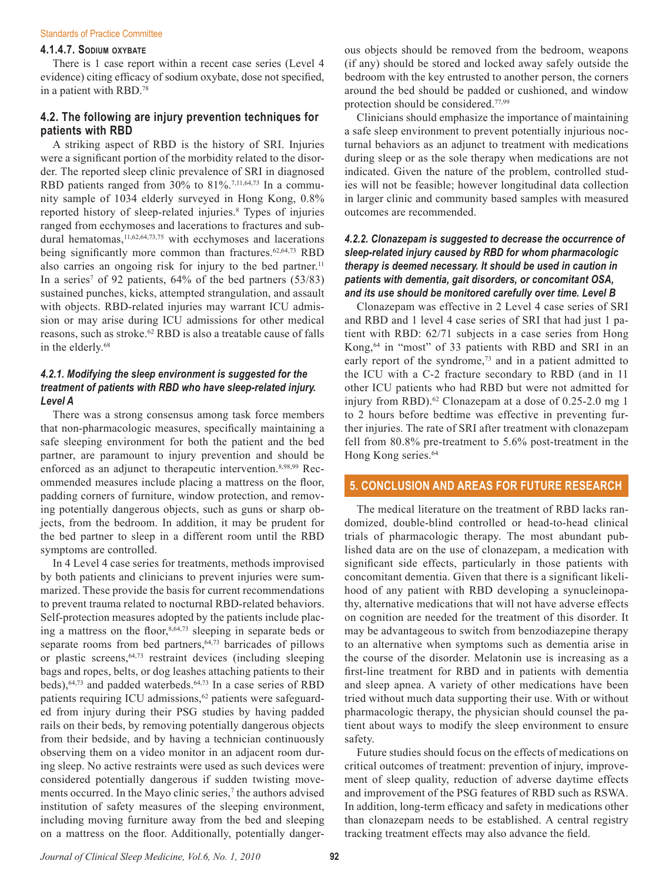#### **4.1.4.7. Sodium oxybate**

There is 1 case report within a recent case series (Level 4 evidence) citing efficacy of sodium oxybate, dose not specified, in a patient with RBD.78

### **4.2. The following are injury prevention techniques for patients with RBD**

A striking aspect of RBD is the history of SRI. Injuries were a significant portion of the morbidity related to the disorder. The reported sleep clinic prevalence of SRI in diagnosed RBD patients ranged from 30% to  $81\%$ .<sup>7,11,64,73</sup> In a community sample of 1034 elderly surveyed in Hong Kong, 0.8% reported history of sleep-related injuries.<sup>8</sup> Types of injuries ranged from ecchymoses and lacerations to fractures and subdural hematomas, $11,62,64,73,75$  with ecchymoses and lacerations being significantly more common than fractures.<sup>62,64,73</sup> RBD also carries an ongoing risk for injury to the bed partner.<sup>11</sup> In a series<sup>7</sup> of 92 patients,  $64\%$  of the bed partners  $(53/83)$ sustained punches, kicks, attempted strangulation, and assault with objects. RBD-related injuries may warrant ICU admission or may arise during ICU admissions for other medical reasons, such as stroke.<sup>62</sup> RBD is also a treatable cause of falls in the elderly.<sup>68</sup>

#### *4.2.1. Modifying the sleep environment is suggested for the treatment of patients with RBD who have sleep-related injury. Level A*

There was a strong consensus among task force members that non-pharmacologic measures, specifically maintaining a safe sleeping environment for both the patient and the bed partner, are paramount to injury prevention and should be enforced as an adjunct to therapeutic intervention.<sup>8,98,99</sup> Recommended measures include placing a mattress on the floor, padding corners of furniture, window protection, and removing potentially dangerous objects, such as guns or sharp objects, from the bedroom. In addition, it may be prudent for the bed partner to sleep in a different room until the RBD symptoms are controlled.

In 4 Level 4 case series for treatments, methods improvised by both patients and clinicians to prevent injuries were summarized. These provide the basis for current recommendations to prevent trauma related to nocturnal RBD-related behaviors. Self-protection measures adopted by the patients include placing a mattress on the floor, $8,64,73$  sleeping in separate beds or separate rooms from bed partners, $64,73$  barricades of pillows or plastic screens, <sup>64,73</sup> restraint devices (including sleeping bags and ropes, belts, or dog leashes attaching patients to their beds), <sup>64,73</sup> and padded waterbeds. <sup>64,73</sup> In a case series of RBD patients requiring ICU admissions, $62$  patients were safeguarded from injury during their PSG studies by having padded rails on their beds, by removing potentially dangerous objects from their bedside, and by having a technician continuously observing them on a video monitor in an adjacent room during sleep. No active restraints were used as such devices were considered potentially dangerous if sudden twisting movements occurred. In the Mayo clinic series,<sup>7</sup> the authors advised institution of safety measures of the sleeping environment, including moving furniture away from the bed and sleeping on a mattress on the floor. Additionally, potentially dangerous objects should be removed from the bedroom, weapons (if any) should be stored and locked away safely outside the bedroom with the key entrusted to another person, the corners around the bed should be padded or cushioned, and window protection should be considered.77,99

Clinicians should emphasize the importance of maintaining a safe sleep environment to prevent potentially injurious nocturnal behaviors as an adjunct to treatment with medications during sleep or as the sole therapy when medications are not indicated. Given the nature of the problem, controlled studies will not be feasible; however longitudinal data collection in larger clinic and community based samples with measured outcomes are recommended.

### *4.2.2. Clonazepam is suggested to decrease the occurrence of sleep-related injury caused by RBD for whom pharmacologic therapy is deemed necessary. It should be used in caution in patients with dementia, gait disorders, or concomitant OSA, and its use should be monitored carefully over time. Level B*

Clonazepam was effective in 2 Level 4 case series of SRI and RBD and 1 level 4 case series of SRI that had just 1 patient with RBD: 62/71 subjects in a case series from Hong Kong,64 in "most" of 33 patients with RBD and SRI in an early report of the syndrome,<sup>73</sup> and in a patient admitted to the ICU with a C-2 fracture secondary to RBD (and in 11 other ICU patients who had RBD but were not admitted for injury from RBD).<sup>62</sup> Clonazepam at a dose of 0.25-2.0 mg 1 to 2 hours before bedtime was effective in preventing further injuries. The rate of SRI after treatment with clonazepam fell from 80.8% pre-treatment to 5.6% post-treatment in the Hong Kong series.<sup>64</sup>

### **5. Conclusion and Areas for Future Research**

The medical literature on the treatment of RBD lacks randomized, double-blind controlled or head-to-head clinical trials of pharmacologic therapy. The most abundant published data are on the use of clonazepam, a medication with significant side effects, particularly in those patients with concomitant dementia. Given that there is a significant likelihood of any patient with RBD developing a synucleinopathy, alternative medications that will not have adverse effects on cognition are needed for the treatment of this disorder. It may be advantageous to switch from benzodiazepine therapy to an alternative when symptoms such as dementia arise in the course of the disorder. Melatonin use is increasing as a first-line treatment for RBD and in patients with dementia and sleep apnea. A variety of other medications have been tried without much data supporting their use. With or without pharmacologic therapy, the physician should counsel the patient about ways to modify the sleep environment to ensure safety.

Future studies should focus on the effects of medications on critical outcomes of treatment: prevention of injury, improvement of sleep quality, reduction of adverse daytime effects and improvement of the PSG features of RBD such as RSWA. In addition, long-term efficacy and safety in medications other than clonazepam needs to be established. A central registry tracking treatment effects may also advance the field.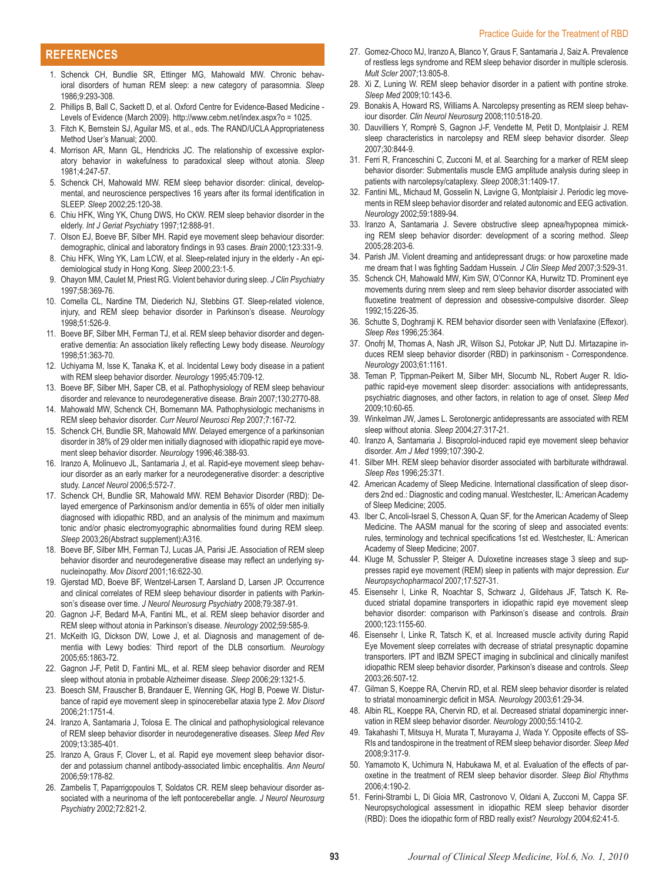#### **References**

- 1. Schenck CH, Bundlie SR, Ettinger MG, Mahowald MW. Chronic behavioral disorders of human REM sleep: a new category of parasomnia. *Sleep* 1986;9:293-308.
- 2. Phillips B, Ball C, Sackett D, et al. Oxford Centre for Evidence-Based Medicine Levels of Evidence (March 2009). http://www.cebm.net/index.aspx?o = 1025.
- 3. Fitch K, Bernstein SJ, Aguilar MS, et al., eds. The RAND/UCLA Appropriateness Method User's Manual; 2000.
- 4. Morrison AR, Mann GL, Hendricks JC. The relationship of excessive exploratory behavior in wakefulness to paradoxical sleep without atonia. *Sleep* 1981;4:247-57.
- 5. Schenck CH, Mahowald MW. REM sleep behavior disorder: clinical, developmental, and neuroscience perspectives 16 years after its formal identification in SLEEP. *Sleep* 2002;25:120-38.
- 6. Chiu HFK, Wing YK, Chung DWS, Ho CKW. REM sleep behavior disorder in the elderly. *Int J Geriat Psychiatry* 1997;12:888-91.
- 7. Olson EJ, Boeve BF, Silber MH. Rapid eye movement sleep behaviour disorder: demographic, clinical and laboratory findings in 93 cases. *Brain* 2000;123:331-9.
- 8. Chiu HFK, Wing YK, Lam LCW, et al. Sleep-related injury in the elderly An epidemiological study in Hong Kong. *Sleep* 2000;23:1-5.
- 9. Ohayon MM, Caulet M, Priest RG. Violent behavior during sleep. *J Clin Psychiatry* 1997;58:369-76.
- 10. Comella CL, Nardine TM, Diederich NJ, Stebbins GT. Sleep-related violence, injury, and REM sleep behavior disorder in Parkinson's disease. *Neurology* 1998;51:526-9.
- 11. Boeve BF, Silber MH, Ferman TJ, et al. REM sleep behavior disorder and degenerative dementia: An association likely reflecting Lewy body disease. *Neurology* 1998;51:363-70.
- 12. Uchiyama M, Isse K, Tanaka K, et al. Incidental Lewy body disease in a patient with REM sleep behavior disorder. *Neurology* 1995;45:709-12.
- 13. Boeve BF, Silber MH, Saper CB, et al. Pathophysiology of REM sleep behaviour disorder and relevance to neurodegenerative disease. *Brain* 2007;130:2770-88.
- 14. Mahowald MW, Schenck CH, Bornemann MA. Pathophysiologic mechanisms in REM sleep behavior disorder. *Curr Neurol Neurosci Rep* 2007;7:167-72.
- 15. Schenck CH, Bundlie SR, Mahowald MW. Delayed emergence of a parkinsonian disorder in 38% of 29 older men initially diagnosed with idiopathic rapid eye movement sleep behavior disorder. *Neurology* 1996;46:388-93.
- 16. Iranzo A, Molinuevo JL, Santamaria J, et al. Rapid-eye movement sleep behaviour disorder as an early marker for a neurodegenerative disorder: a descriptive study. *Lancet Neurol* 2006;5:572-7.
- 17. Schenck CH, Bundlie SR, Mahowald MW. REM Behavior Disorder (RBD): Delayed emergence of Parkinsonism and/or dementia in 65% of older men initially diagnosed with idiopathic RBD, and an analysis of the minimum and maximum tonic and/or phasic electromyographic abnormalities found during REM sleep. *Sleep* 2003;26(Abstract supplement):A316.
- 18. Boeve BF, Silber MH, Ferman TJ, Lucas JA, Parisi JE. Association of REM sleep behavior disorder and neurodegenerative disease may reflect an underlying synucleinopathy. *Mov Disord* 2001;16:622-30.
- 19. Gjerstad MD, Boeve BF, Wentzel-Larsen T, Aarsland D, Larsen JP. Occurrence and clinical correlates of REM sleep behaviour disorder in patients with Parkinson's disease over time. *J Neurol Neurosurg Psychiatry* 2008;79:387-91.
- 20. Gagnon J-F, Bedard M-A, Fantini ML, et al. REM sleep behavior disorder and REM sleep without atonia in Parkinson's disease. *Neurology* 2002;59:585-9.
- 21. McKeith IG, Dickson DW, Lowe J, et al. Diagnosis and management of dementia with Lewy bodies: Third report of the DLB consortium. *Neurology* 2005;65:1863-72.
- 22. Gagnon J-F, Petit D, Fantini ML, et al. REM sleep behavior disorder and REM sleep without atonia in probable Alzheimer disease. *Sleep* 2006;29:1321-5.
- 23. Boesch SM, Frauscher B, Brandauer E, Wenning GK, Hogl B, Poewe W. Disturbance of rapid eye movement sleep in spinocerebellar ataxia type 2. *Mov Disord* 2006;21:1751-4.
- 24. Iranzo A, Santamaria J, Tolosa E. The clinical and pathophysiological relevance of REM sleep behavior disorder in neurodegenerative diseases. *Sleep Med Rev* 2009;13:385-401.
- 25. Iranzo A, Graus F, Clover L, et al. Rapid eye movement sleep behavior disorder and potassium channel antibody-associated limbic encephalitis. *Ann Neurol* 2006;59:178-82.
- 26. Zambelis T, Paparrigopoulos T, Soldatos CR. REM sleep behaviour disorder associated with a neurinoma of the left pontocerebellar angle. *J Neurol Neurosurg Psychiatry* 2002;72:821-2.
- 27. Gomez-Choco MJ, Iranzo A, Blanco Y, Graus F, Santamaria J, Saiz A. Prevalence of restless legs syndrome and REM sleep behavior disorder in multiple sclerosis. *Mult Scler* 2007;13:805-8.
- 28. Xi Z, Luning W. REM sleep behavior disorder in a patient with pontine stroke. *Sleep Med* 2009;10:143-6.
- 29. Bonakis A, Howard RS, Williams A. Narcolepsy presenting as REM sleep behaviour disorder. *Clin Neurol Neurosurg* 2008;110:518-20.
- 30. Dauvilliers Y, Rompré S, Gagnon J-F, Vendette M, Petit D, Montplaisir J. REM sleep characteristics in narcolepsy and REM sleep behavior disorder. *Sleep* 2007;30:844-9.
- 31. Ferri R, Franceschini C, Zucconi M, et al. Searching for a marker of REM sleep behavior disorder: Submentalis muscle EMG amplitude analysis during sleep in patients with narcolepsy/cataplexy. *Sleep* 2008;31:1409-17.
- 32. Fantini ML, Michaud M, Gosselin N, Lavigne G, Montplaisir J. Periodic leg movements in REM sleep behavior disorder and related autonomic and EEG activation. *Neurology* 2002;59:1889-94.
- 33. Iranzo A, Santamaria J. Severe obstructive sleep apnea/hypopnea mimicking REM sleep behavior disorder: development of a scoring method. *Sleep* 2005;28:203-6.
- 34. Parish JM. Violent dreaming and antidepressant drugs: or how paroxetine made me dream that I was fighting Saddam Hussein. *J Clin Sleep Med* 2007;3:529-31.
- 35. Schenck CH, Mahowald MW, Kim SW, O'Connor KA, Hurwitz TD. Prominent eye movements during nrem sleep and rem sleep behavior disorder associated with fluoxetine treatment of depression and obsessive-compulsive disorder. *Sleep* 1992;15:226-35.
- 36. Schutte S, Doghramji K. REM behavior disorder seen with Venlafaxine (Effexor). *Sleep Res* 1996;25:364.
- 37. Onofrj M, Thomas A, Nash JR, Wilson SJ, Potokar JP, Nutt DJ. Mirtazapine induces REM sleep behavior disorder (RBD) in parkinsonism - Correspondence. *Neurology* 2003;61:1161.
- 38. Teman P, Tippman-Peikert M, Silber MH, Slocumb NL, Robert Auger R. Idiopathic rapid-eye movement sleep disorder: associations with antidepressants, psychiatric diagnoses, and other factors, in relation to age of onset. *Sleep Med* 2009;10:60-65.
- 39. Winkelman JW, James L. Serotonergic antidepressants are associated with REM sleep without atonia. *Sleep* 2004;27:317-21.
- 40. Iranzo A, Santamaria J. Bisoprolol-induced rapid eye movement sleep behavior disorder. *Am J Med* 1999;107:390-2.
- 41. Silber MH. REM sleep behavior disorder associated with barbiturate withdrawal. *Sleep Res* 1996;25:371.
- 42. American Academy of Sleep Medicine. International classification of sleep disorders 2nd ed.: Diagnostic and coding manual. Westchester, IL: American Academy of Sleep Medicine; 2005.
- 43. Iber C, Ancoli-Israel S, Chesson A, Quan SF, for the American Academy of Sleep Medicine. The AASM manual for the scoring of sleep and associated events: rules, terminology and technical specifications 1st ed. Westchester, IL: American Academy of Sleep Medicine; 2007.
- 44. Kluge M, Schussler P, Steiger A. Duloxetine increases stage 3 sleep and suppresses rapid eye movement (REM) sleep in patients with major depression. *Eur Neuropsychopharmacol* 2007;17:527-31.
- 45. Eisensehr I, Linke R, Noachtar S, Schwarz J, Gildehaus JF, Tatsch K. Reduced striatal dopamine transporters in idiopathic rapid eye movement sleep behavior disorder: comparison with Parkinson's disease and controls. *Brain* 2000;123:1155-60.
- 46. Eisensehr I, Linke R, Tatsch K, et al. Increased muscle activity during Rapid Eye Movement sleep correlates with decrease of striatal presynaptic dopamine transporters. IPT and IBZM SPECT imaging in subclinical and clinically manifest idiopathic REM sleep behavior disorder, Parkinson's disease and controls. *Sleep* 2003;26:507-12.
- 47. Gilman S, Koeppe RA, Chervin RD, et al. REM sleep behavior disorder is related to striatal monoaminergic deficit in MSA. *Neurology* 2003;61:29-34.
- 48. Albin RL, Koeppe RA, Chervin RD, et al. Decreased striatal dopaminergic innervation in REM sleep behavior disorder. *Neurology* 2000;55:1410-2.
- 49. Takahashi T, Mitsuya H, Murata T, Murayama J, Wada Y. Opposite effects of SS-RIs and tandospirone in the treatment of REM sleep behavior disorder. *Sleep Med* 2008;9:317-9.
- 50. Yamamoto K, Uchimura N, Habukawa M, et al. Evaluation of the effects of paroxetine in the treatment of REM sleep behavior disorder. *Sleep Biol Rhythms* 2006;4:190-2.
- 51. Ferini-Strambi L, Di Gioia MR, Castronovo V, Oldani A, Zucconi M, Cappa SF. Neuropsychological assessment in idiopathic REM sleep behavior disorder (RBD): Does the idiopathic form of RBD really exist? *Neurology* 2004;62:41-5.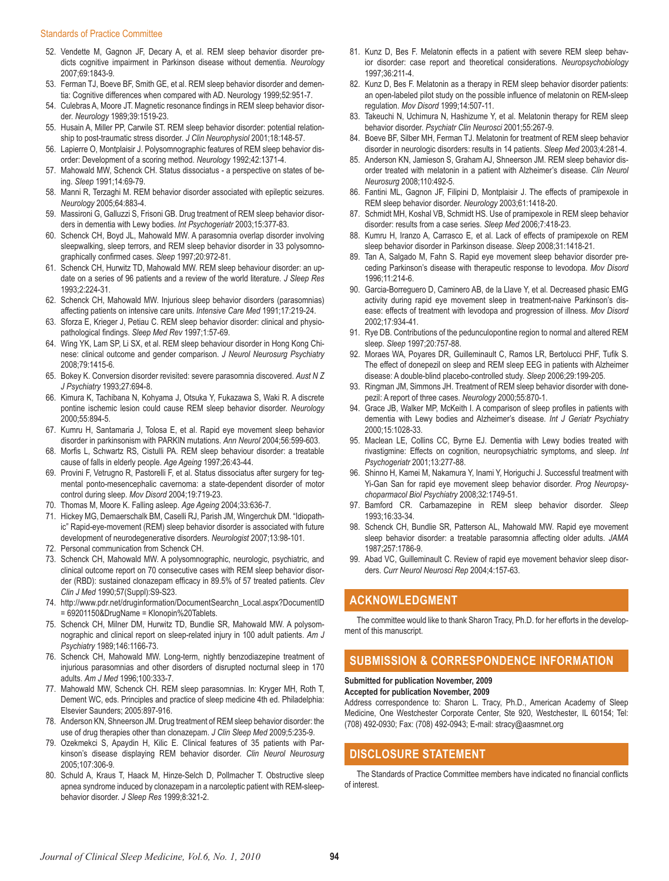- 52. Vendette M, Gagnon JF, Decary A, et al. REM sleep behavior disorder predicts cognitive impairment in Parkinson disease without dementia. *Neurology* 2007;69:1843-9.
- 53. Ferman TJ, Boeve BF, Smith GE, et al. REM sleep behavior disorder and dementia: Cognitive differences when compared with AD. Neurology 1999;52:951-7.
- 54. Culebras A, Moore JT. Magnetic resonance findings in REM sleep behavior disorder. *Neurology* 1989;39:1519-23.
- 55. Husain A, Miller PP, Carwile ST. REM sleep behavior disorder: potential relationship to post-traumatic stress disorder. *J Clin Neurophysiol* 2001;18:148-57.
- 56. Lapierre O, Montplaisir J. Polysomnographic features of REM sleep behavior disorder: Development of a scoring method. *Neurology* 1992;42:1371-4.
- 57. Mahowald MW, Schenck CH. Status dissociatus a perspective on states of being. *Sleep* 1991;14:69-79.
- 58. Manni R, Terzaghi M. REM behavior disorder associated with epileptic seizures. *Neurology* 2005;64:883-4.
- 59. Massironi G, Galluzzi S, Frisoni GB. Drug treatment of REM sleep behavior disorders in dementia with Lewy bodies. *Int Psychogeriatr* 2003;15:377-83.
- 60. Schenck CH, Boyd JL, Mahowald MW. A parasomnia overlap disorder involving sleepwalking, sleep terrors, and REM sleep behavior disorder in 33 polysomnographically confirmed cases. *Sleep* 1997;20:972-81.
- 61. Schenck CH, Hurwitz TD, Mahowald MW. REM sleep behaviour disorder: an update on a series of 96 patients and a review of the world literature. *J Sleep Res* 1993;2:224-31.
- 62. Schenck CH, Mahowald MW. Injurious sleep behavior disorders (parasomnias) affecting patients on intensive care units. *Intensive Care Med* 1991;17:219-24.
- 63. Sforza E, Krieger J, Petiau C. REM sleep behavior disorder: clinical and physiopathological findings. *Sleep Med Rev* 1997;1:57-69.
- 64. Wing YK, Lam SP, Li SX, et al. REM sleep behaviour disorder in Hong Kong Chinese: clinical outcome and gender comparison. *J Neurol Neurosurg Psychiatry* 2008;79:1415-6.
- 65. Bokey K. Conversion disorder revisited: severe parasomnia discovered. *Aust N Z J Psychiatry* 1993;27:694-8.
- 66. Kimura K, Tachibana N, Kohyama J, Otsuka Y, Fukazawa S, Waki R. A discrete pontine ischemic lesion could cause REM sleep behavior disorder. *Neurology* 2000;55:894-5.
- 67. Kumru H, Santamaria J, Tolosa E, et al. Rapid eye movement sleep behavior disorder in parkinsonism with PARKIN mutations. *Ann Neurol* 2004;56:599-603.
- 68. Morfis L, Schwartz RS, Cistulli PA. REM sleep behaviour disorder: a treatable cause of falls in elderly people. *Age Ageing* 1997;26:43-44.
- 69. Provini F, Vetrugno R, Pastorelli F, et al. Status dissociatus after surgery for tegmental ponto-mesencephalic cavernoma: a state-dependent disorder of motor control during sleep. *Mov Disord* 2004;19:719-23.
- 70. Thomas M, Moore K. Falling asleep. *Age Ageing* 2004;33:636-7.
- 71. Hickey MG, Demaerschalk BM, Caselli RJ, Parish JM, Wingerchuk DM. "Idiopathic" Rapid-eye-movement (REM) sleep behavior disorder is associated with future development of neurodegenerative disorders. *Neurologist* 2007;13:98-101.
- 72. Personal communication from Schenck CH.
- 73. Schenck CH, Mahowald MW. A polysomnographic, neurologic, psychiatric, and clinical outcome report on 70 consecutive cases with REM sleep behavior disorder (RBD): sustained clonazepam efficacy in 89.5% of 57 treated patients. *Clev Clin J Med* 1990;57(Suppl):S9-S23.
- 74. http://www.pdr.net/druginformation/DocumentSearchn\_Local.aspx?DocumentID = 69201150&DrugName = Klonopin%20Tablets.
- 75. Schenck CH, Milner DM, Hurwitz TD, Bundlie SR, Mahowald MW. A polysomnographic and clinical report on sleep-related injury in 100 adult patients. *Am J Psychiatry* 1989;146:1166-73.
- 76. Schenck CH, Mahowald MW. Long-term, nightly benzodiazepine treatment of injurious parasomnias and other disorders of disrupted nocturnal sleep in 170 adults. *Am J Med* 1996;100:333-7.
- 77. Mahowald MW, Schenck CH. REM sleep parasomnias. In: Kryger MH, Roth T, Dement WC, eds. Principles and practice of sleep medicine 4th ed. Philadelphia: Elsevier Saunders; 2005:897-916.
- 78. Anderson KN, Shneerson JM. Drug treatment of REM sleep behavior disorder: the use of drug therapies other than clonazepam. *J Clin Sleep Med* 2009;5:235-9.
- 79. Ozekmekci S, Apaydin H, Kilic E. Clinical features of 35 patients with Parkinson's disease displaying REM behavior disorder. *Clin Neurol Neurosurg* 2005;107:306-9.
- 80. Schuld A, Kraus T, Haack M, Hinze-Selch D, Pollmacher T. Obstructive sleep apnea syndrome induced by clonazepam in a narcoleptic patient with REM-sleepbehavior disorder. *J Sleep Res* 1999;8:321-2.
- 81. Kunz D, Bes F. Melatonin effects in a patient with severe REM sleep behavior disorder: case report and theoretical considerations. *Neuropsychobiology* 1997;36:211-4.
- 82. Kunz D, Bes F. Melatonin as a therapy in REM sleep behavior disorder patients: an open-labeled pilot study on the possible influence of melatonin on REM-sleep regulation. *Mov Disord* 1999;14:507-11.
- 83. Takeuchi N, Uchimura N, Hashizume Y, et al. Melatonin therapy for REM sleep behavior disorder. *Psychiatr Clin Neurosci* 2001;55:267-9.
- 84. Boeve BF, Silber MH, Ferman TJ. Melatonin for treatment of REM sleep behavior disorder in neurologic disorders: results in 14 patients. *Sleep Med* 2003;4:281-4.
- 85. Anderson KN, Jamieson S, Graham AJ, Shneerson JM. REM sleep behavior disorder treated with melatonin in a patient with Alzheimer's disease. *Clin Neurol Neurosurg* 2008;110:492-5.
- 86. Fantini ML, Gagnon JF, Filipini D, Montplaisir J. The effects of pramipexole in REM sleep behavior disorder. *Neurology* 2003;61:1418-20.
- 87. Schmidt MH, Koshal VB, Schmidt HS. Use of pramipexole in REM sleep behavior disorder: results from a case series. *Sleep Med* 2006;7:418-23.
- 88. Kumru H, Iranzo A, Carrasco E, et al. Lack of effects of pramipexole on REM sleep behavior disorder in Parkinson disease. *Sleep* 2008;31:1418-21.
- 89. Tan A, Salgado M, Fahn S. Rapid eye movement sleep behavior disorder preceding Parkinson's disease with therapeutic response to levodopa. *Mov Disord* 1996;11:214-6.
- 90. Garcia-Borreguero D, Caminero AB, de la Llave Y, et al. Decreased phasic EMG activity during rapid eye movement sleep in treatment-naive Parkinson's disease: effects of treatment with levodopa and progression of illness. *Mov Disord* 2002;17:934-41.
- 91. Rye DB. Contributions of the pedunculopontine region to normal and altered REM sleep. *Sleep* 1997;20:757-88.
- 92. Moraes WA, Poyares DR, Guilleminault C, Ramos LR, Bertolucci PHF, Tufik S. The effect of donepezil on sleep and REM sleep EEG in patients with Alzheimer disease: A double-blind placebo-controlled study. *Sleep* 2006;29:199-205.
- 93. Ringman JM, Simmons JH. Treatment of REM sleep behavior disorder with donepezil: A report of three cases. *Neurology* 2000;55:870-1.
- 94. Grace JB, Walker MP, McKeith I. A comparison of sleep profiles in patients with dementia with Lewy bodies and Alzheimer's disease. *Int J Geriatr Psychiatry* 2000;15:1028-33.
- 95. Maclean LE, Collins CC, Byrne EJ. Dementia with Lewy bodies treated with rivastigmine: Effects on cognition, neuropsychiatric symptoms, and sleep. *Int Psychogeriatr* 2001;13:277-88.
- 96. Shinno H, Kamei M, Nakamura Y, Inami Y, Horiguchi J. Successful treatment with Yi-Gan San for rapid eye movement sleep behavior disorder. *Prog Neuropsychoparmacol Biol Psychiatry* 2008;32:1749-51.
- 97. Bamford CR. Carbamazepine in REM sleep behavior disorder. *Sleep* 1993;16:33-34.
- 98. Schenck CH, Bundlie SR, Patterson AL, Mahowald MW. Rapid eye movement sleep behavior disorder: a treatable parasomnia affecting older adults. *JAMA* 1987;257:1786-9.
- 99. Abad VC, Guilleminault C. Review of rapid eye movement behavior sleep disorders. *Curr Neurol Neurosci Rep* 2004;4:157-63.

## **Acknowledgment**

The committee would like to thank Sharon Tracy, Ph.D. for her efforts in the development of this manuscript.

### **submission & correspondence information**

#### **Submitted for publication November, 2009**

**Accepted for publication November, 2009**

Address correspondence to: Sharon L. Tracy, Ph.D., American Academy of Sleep Medicine, One Westchester Corporate Center, Ste 920, Westchester, IL 60154; Tel: (708) 492-0930; Fax: (708) 492-0943; E-mail: stracy@aasmnet.org

## **disclosure statement**

The Standards of Practice Committee members have indicated no financial conflicts of interest.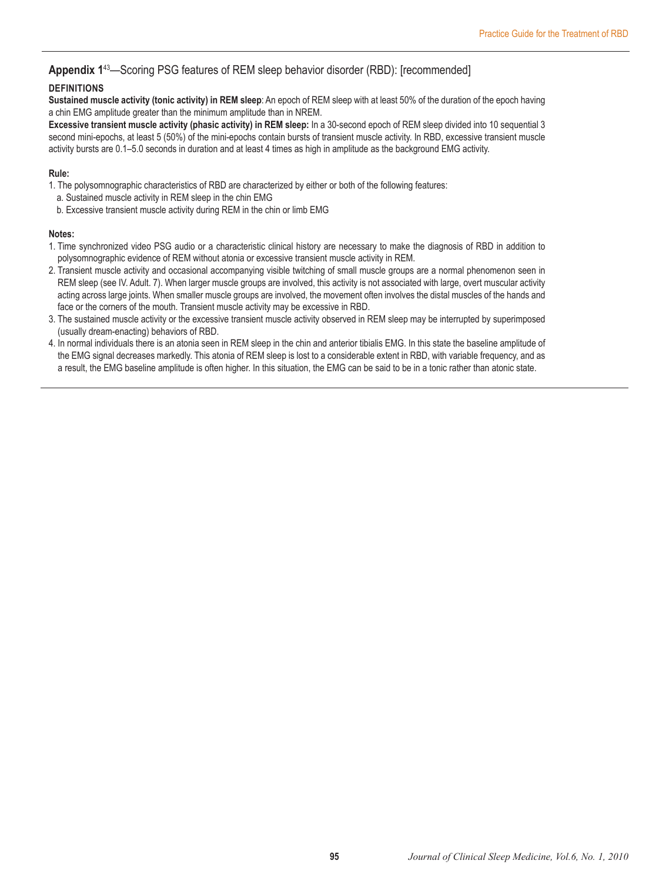## **Appendix 1**<sup>43</sup>—Scoring PSG features of REM sleep behavior disorder (RBD): [recommended]

### **Definitions**

**Sustained muscle activity (tonic activity) in REM sleep**: An epoch of REM sleep with at least 50% of the duration of the epoch having a chin EMG amplitude greater than the minimum amplitude than in NREM.

**Excessive transient muscle activity (phasic activity) in REM sleep:** In a 30-second epoch of REM sleep divided into 10 sequential 3 second mini-epochs, at least 5 (50%) of the mini-epochs contain bursts of transient muscle activity. In RBD, excessive transient muscle activity bursts are 0.1–5.0 seconds in duration and at least 4 times as high in amplitude as the background EMG activity.

#### **Rule:**

1. The polysomnographic characteristics of RBD are characterized by either or both of the following features:

- a. Sustained muscle activity in REM sleep in the chin EMG
- b. Excessive transient muscle activity during REM in the chin or limb EMG

#### **Notes:**

- 1. Time synchronized video PSG audio or a characteristic clinical history are necessary to make the diagnosis of RBD in addition to polysomnographic evidence of REM without atonia or excessive transient muscle activity in REM.
- 2. Transient muscle activity and occasional accompanying visible twitching of small muscle groups are a normal phenomenon seen in REM sleep (see IV. Adult. 7). When larger muscle groups are involved, this activity is not associated with large, overt muscular activity acting across large joints. When smaller muscle groups are involved, the movement often involves the distal muscles of the hands and face or the corners of the mouth. Transient muscle activity may be excessive in RBD.
- 3. The sustained muscle activity or the excessive transient muscle activity observed in REM sleep may be interrupted by superimposed (usually dream-enacting) behaviors of RBD.
- 4. In normal individuals there is an atonia seen in REM sleep in the chin and anterior tibialis EMG. In this state the baseline amplitude of the EMG signal decreases markedly. This atonia of REM sleep is lost to a considerable extent in RBD, with variable frequency, and as a result, the EMG baseline amplitude is often higher. In this situation, the EMG can be said to be in a tonic rather than atonic state.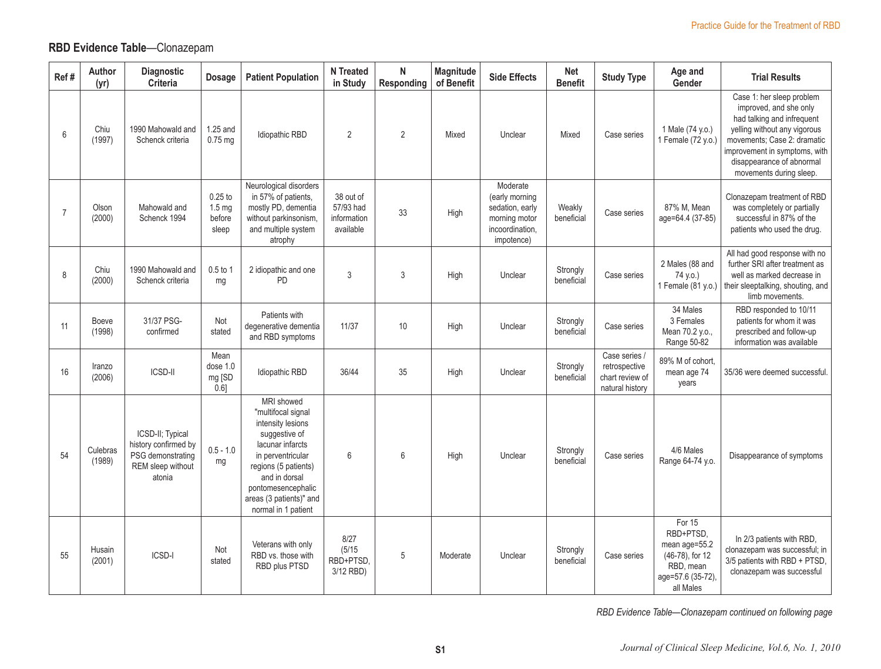## **RBD Evidence Table**—Clonazepam

| Ref#           | Author<br>(yr)         | Diagnostic<br>Criteria                                                                       | <b>Dosage</b>                                     | <b>Patient Population</b>                                                                                                                                                                                                        | <b>N</b> Treated<br>in Study                       | N<br>Responding | Magnitude<br>of Benefit | <b>Side Effects</b>                                                                             | <b>Net</b><br><b>Benefit</b> | <b>Study Type</b>                                                    | Age and<br>Gender                                                                                      | <b>Trial Results</b>                                                                                                                                                                                                                      |
|----------------|------------------------|----------------------------------------------------------------------------------------------|---------------------------------------------------|----------------------------------------------------------------------------------------------------------------------------------------------------------------------------------------------------------------------------------|----------------------------------------------------|-----------------|-------------------------|-------------------------------------------------------------------------------------------------|------------------------------|----------------------------------------------------------------------|--------------------------------------------------------------------------------------------------------|-------------------------------------------------------------------------------------------------------------------------------------------------------------------------------------------------------------------------------------------|
| 6              | Chiu<br>(1997)         | 1990 Mahowald and<br>Schenck criteria                                                        | 1.25 and<br>$0.75$ mg                             | <b>Idiopathic RBD</b>                                                                                                                                                                                                            | 2                                                  | 2               | Mixed                   | Unclear                                                                                         | Mixed                        | Case series                                                          | 1 Male (74 y.o.)<br>1 Female (72 y.o.)                                                                 | Case 1: her sleep problem<br>improved, and she only<br>had talking and infrequent<br>yelling without any vigorous<br>movements; Case 2: dramatic<br>improvement in symptoms, with<br>disappearance of abnormal<br>movements during sleep. |
| $\overline{7}$ | Olson<br>(2000)        | Mahowald and<br>Schenck 1994                                                                 | $0.25$ to<br>1.5 <sub>mg</sub><br>before<br>sleep | Neurological disorders<br>in 57% of patients,<br>mostly PD, dementia<br>without parkinsonism,<br>and multiple system<br>atrophy                                                                                                  | 38 out of<br>57/93 had<br>information<br>available | 33              | High                    | Moderate<br>(early morning<br>sedation, early<br>morning motor<br>incoordination,<br>impotence) | Weakly<br>beneficial         | Case series                                                          | 87% M, Mean<br>age=64.4 (37-85)                                                                        | Clonazepam treatment of RBD<br>was completely or partially<br>successful in 87% of the<br>patients who used the drug.                                                                                                                     |
| 8              | Chiu<br>(2000)         | 1990 Mahowald and<br>Schenck criteria                                                        | 0.5 to 1<br>mg                                    | 2 idiopathic and one<br>PD                                                                                                                                                                                                       | 3                                                  | 3               | High                    | Unclear                                                                                         | Strongly<br>beneficial       | Case series                                                          | 2 Males (88 and<br>74 y.o.)<br>1 Female (81 y.o.)                                                      | All had good response with no<br>further SRI after treatment as<br>well as marked decrease in<br>their sleeptalking, shouting, and<br>limb movements.                                                                                     |
| 11             | <b>Boeve</b><br>(1998) | 31/37 PSG-<br>confirmed                                                                      | Not<br>stated                                     | Patients with<br>degenerative dementia<br>and RBD symptoms                                                                                                                                                                       | 11/37                                              | 10              | High                    | Unclear                                                                                         | Strongly<br>beneficial       | Case series                                                          | 34 Males<br>3 Females<br>Mean 70.2 y.o.,<br>Range 50-82                                                | RBD responded to 10/11<br>patients for whom it was<br>prescribed and follow-up<br>information was available                                                                                                                               |
| 16             | Iranzo<br>(2006)       | ICSD-II                                                                                      | Mean<br>dose 1.0<br>mg [SD<br>0.6]                | <b>Idiopathic RBD</b>                                                                                                                                                                                                            | 36/44                                              | 35              | High                    | Unclear                                                                                         | Strongly<br>beneficial       | Case series /<br>retrospective<br>chart review of<br>natural history | 89% M of cohort,<br>mean age 74<br>years                                                               | 35/36 were deemed successful.                                                                                                                                                                                                             |
| 54             | Culebras<br>(1989)     | ICSD-II: Typical<br>history confirmed by<br>PSG demonstrating<br>REM sleep without<br>atonia | $0.5 - 1.0$<br>mg                                 | MRI showed<br>"multifocal signal<br>intensity lesions<br>suggestive of<br>lacunar infarcts<br>in perventricular<br>regions (5 patients)<br>and in dorsal<br>pontomesencephalic<br>areas (3 patients)" and<br>normal in 1 patient | 6                                                  | $6\phantom{1}$  | High                    | Unclear                                                                                         | Strongly<br>beneficial       | Case series                                                          | 4/6 Males<br>Range 64-74 y.o.                                                                          | Disappearance of symptoms                                                                                                                                                                                                                 |
| 55             | Husain<br>(2001)       | ICSD-I                                                                                       | Not<br>stated                                     | Veterans with only<br>RBD vs. those with<br>RBD plus PTSD                                                                                                                                                                        | 8/27<br>(5/15)<br>RBD+PTSD,<br>3/12 RBD)           | 5               | Moderate                | Unclear                                                                                         | Strongly<br>beneficial       | Case series                                                          | For 15<br>RBD+PTSD,<br>mean age=55.2<br>(46-78), for 12<br>RBD, mean<br>age=57.6 (35-72),<br>all Males | In 2/3 patients with RBD.<br>clonazepam was successful; in<br>3/5 patients with RBD + PTSD,<br>clonazepam was successful                                                                                                                  |

*RBD Evidence Table—Clonazepam continued on following page*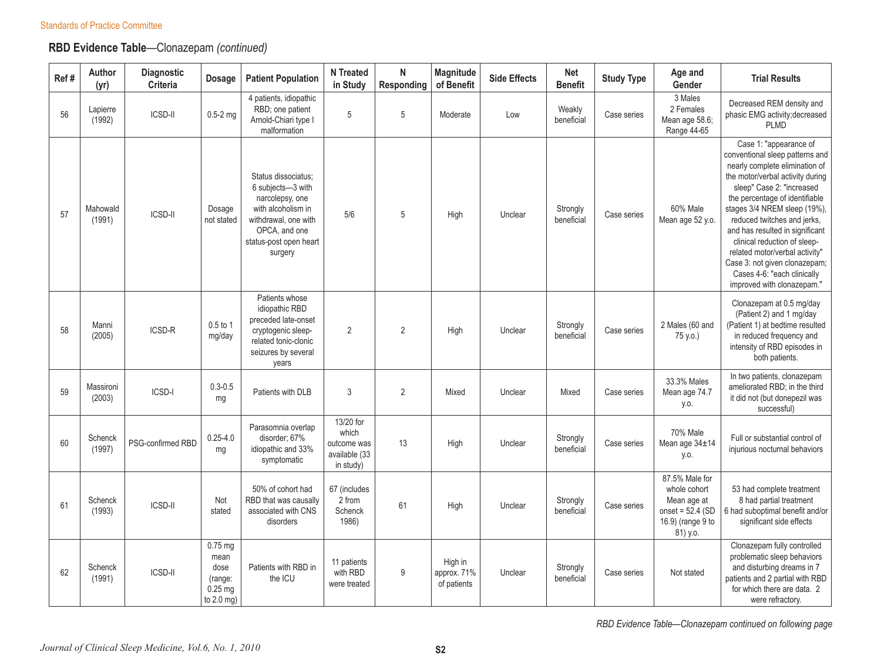## **RBD Evidence Table**—Clonazepam *(continued)*

| Ref# | Author<br>(yr)      | Diagnostic<br>Criteria | <b>Dosage</b>                                                 | <b>Patient Population</b>                                                                                                                                       | N Treated<br>in Study                                           | N<br>Responding | Magnitude<br>of Benefit               | <b>Side Effects</b> | <b>Net</b><br><b>Benefit</b> | <b>Study Type</b> | Age and<br>Gender                                                                                    | <b>Trial Results</b>                                                                                                                                                                                                                                                                                                                                                                                                                                             |
|------|---------------------|------------------------|---------------------------------------------------------------|-----------------------------------------------------------------------------------------------------------------------------------------------------------------|-----------------------------------------------------------------|-----------------|---------------------------------------|---------------------|------------------------------|-------------------|------------------------------------------------------------------------------------------------------|------------------------------------------------------------------------------------------------------------------------------------------------------------------------------------------------------------------------------------------------------------------------------------------------------------------------------------------------------------------------------------------------------------------------------------------------------------------|
| 56   | Lapierre<br>(1992)  | <b>ICSD-II</b>         | $0.5 - 2$ mg                                                  | 4 patients, idiopathic<br>RBD; one patient<br>Arnold-Chiari type I<br>malformation                                                                              | 5                                                               | 5               | Moderate                              | Low                 | Weakly<br>beneficial         | Case series       | 3 Males<br>2 Females<br>Mean age 58.6;<br>Range 44-65                                                | Decreased REM density and<br>phasic EMG activity; decreased<br><b>PLMD</b>                                                                                                                                                                                                                                                                                                                                                                                       |
| 57   | Mahowald<br>(1991)  | <b>ICSD-II</b>         | Dosage<br>not stated                                          | Status dissociatus;<br>6 subjects-3 with<br>narcolepsy, one<br>with alcoholism in<br>withdrawal, one with<br>OPCA, and one<br>status-post open heart<br>surgery | 5/6                                                             | 5               | High                                  | Unclear             | Strongly<br>beneficial       | Case series       | 60% Male<br>Mean age 52 y.o.                                                                         | Case 1: "appearance of<br>conventional sleep patterns and<br>nearly complete elimination of<br>the motor/verbal activity during<br>sleep" Case 2: "increased<br>the percentage of identifiable<br>stages 3/4 NREM sleep (19%),<br>reduced twitches and jerks,<br>and has resulted in significant<br>clinical reduction of sleep-<br>related motor/verbal activity"<br>Case 3: not given clonazepam;<br>Cases 4-6: "each clinically<br>improved with clonazepam." |
| 58   | Manni<br>(2005)     | ICSD-R                 | 0.5 to 1<br>mg/day                                            | Patients whose<br>idiopathic RBD<br>preceded late-onset<br>cryptogenic sleep-<br>related tonic-clonic<br>seizures by several<br>years                           | $\overline{2}$                                                  | $\overline{2}$  | High                                  | Unclear             | Strongly<br>beneficial       | Case series       | 2 Males (60 and<br>75 y.o.)                                                                          | Clonazepam at 0.5 mg/day<br>(Patient 2) and 1 mg/day<br>(Patient 1) at bedtime resulted<br>in reduced frequency and<br>intensity of RBD episodes in<br>both patients.                                                                                                                                                                                                                                                                                            |
| 59   | Massironi<br>(2003) | ICSD-I                 | $0.3 - 0.5$<br>mg                                             | Patients with DLB                                                                                                                                               | 3                                                               | $\overline{2}$  | Mixed                                 | Unclear             | Mixed                        | Case series       | 33.3% Males<br>Mean age 74.7<br>y.o.                                                                 | In two patients, clonazepam<br>ameliorated RBD; in the third<br>it did not (but donepezil was<br>successful)                                                                                                                                                                                                                                                                                                                                                     |
| 60   | Schenck<br>(1997)   | PSG-confirmed RBD      | $0.25 - 4.0$<br>mg                                            | Parasomnia overlap<br>disorder: 67%<br>idiopathic and 33%<br>symptomatic                                                                                        | 13/20 for<br>which<br>outcome was<br>available (33<br>in study) | 13              | High                                  | Unclear             | Strongly<br>beneficial       | Case series       | 70% Male<br>Mean age 34±14<br>y.o.                                                                   | Full or substantial control of<br>injurious nocturnal behaviors                                                                                                                                                                                                                                                                                                                                                                                                  |
| 61   | Schenck<br>(1993)   | <b>ICSD-II</b>         | Not<br>stated                                                 | 50% of cohort had<br>RBD that was causally<br>associated with CNS<br>disorders                                                                                  | 67 (includes<br>2 from<br>Schenck<br>1986)                      | 61              | High                                  | Unclear             | Strongly<br>beneficial       | Case series       | 87.5% Male for<br>whole cohort<br>Mean age at<br>onset = $52.4$ (SD<br>16.9) (range 9 to<br>81) y.o. | 53 had complete treatment<br>8 had partial treatment<br>6 had suboptimal benefit and/or<br>significant side effects                                                                                                                                                                                                                                                                                                                                              |
| 62   | Schenck<br>(1991)   | <b>ICSD-II</b>         | 0.75 mg<br>mean<br>dose<br>(range:<br>$0.25$ mg<br>to 2.0 mg) | Patients with RBD in<br>the ICU                                                                                                                                 | 11 patients<br>with RBD<br>were treated                         | 9               | High in<br>approx. 71%<br>of patients | Unclear             | Strongly<br>beneficial       | Case series       | Not stated                                                                                           | Clonazepam fully controlled<br>problematic sleep behaviors<br>and disturbing dreams in 7<br>patients and 2 partial with RBD<br>for which there are data. 2<br>were refractory.                                                                                                                                                                                                                                                                                   |

*RBD Evidence Table—Clonazepam continued on following page*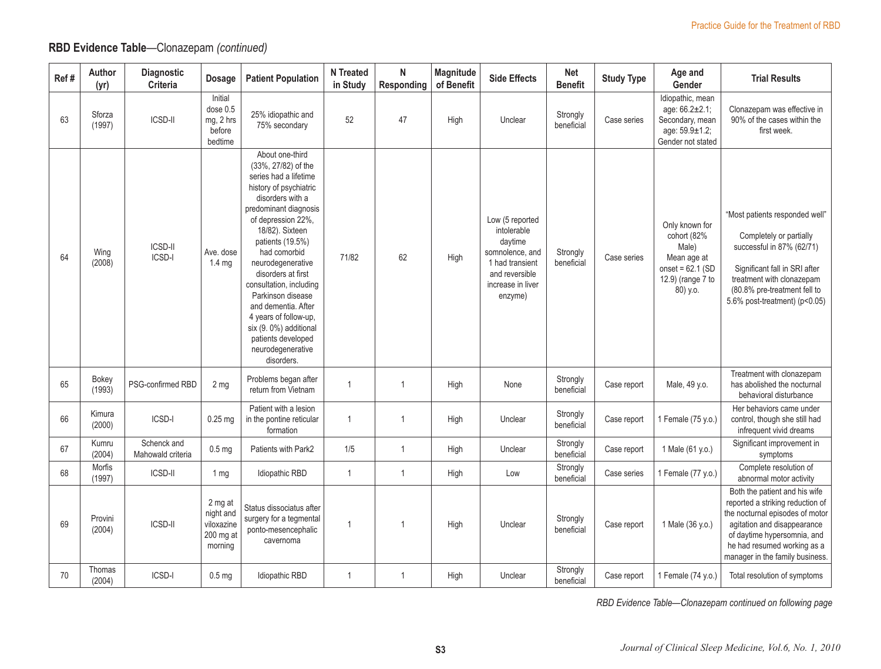## **RBD Evidence Table**—Clonazepam *(continued)*

| Ref# | Author<br>(yr)    | Diagnostic<br>Criteria           | <b>Dosage</b>                                              | <b>Patient Population</b>                                                                                                                                                                                                                                                                                                                                                                                                                        | <b>N</b> Treated<br>in Study | N<br>Responding | Magnitude<br>of Benefit | <b>Side Effects</b>                                                                                                               | <b>Net</b><br><b>Benefit</b> | <b>Study Type</b> | Age and<br>Gender                                                                                            | <b>Trial Results</b>                                                                                                                                                                                                                 |
|------|-------------------|----------------------------------|------------------------------------------------------------|--------------------------------------------------------------------------------------------------------------------------------------------------------------------------------------------------------------------------------------------------------------------------------------------------------------------------------------------------------------------------------------------------------------------------------------------------|------------------------------|-----------------|-------------------------|-----------------------------------------------------------------------------------------------------------------------------------|------------------------------|-------------------|--------------------------------------------------------------------------------------------------------------|--------------------------------------------------------------------------------------------------------------------------------------------------------------------------------------------------------------------------------------|
| 63   | Sforza<br>(1997)  | <b>ICSD-II</b>                   | Initial<br>dose 0.5<br>mg, 2 hrs<br>before<br>bedtime      | 25% idiopathic and<br>75% secondary                                                                                                                                                                                                                                                                                                                                                                                                              | 52                           | 47              | High                    | Unclear                                                                                                                           | Strongly<br>beneficial       | Case series       | Idiopathic, mean<br>age: 66.2±2.1;<br>Secondary, mean<br>age: 59.9±1.2;<br>Gender not stated                 | Clonazepam was effective in<br>90% of the cases within the<br>first week.                                                                                                                                                            |
| 64   | Wing<br>(2008)    | <b>ICSD-II</b><br>ICSD-I         | Ave. dose<br>1.4 <sub>ma</sub>                             | About one-third<br>(33%, 27/82) of the<br>series had a lifetime<br>history of psychiatric<br>disorders with a<br>predominant diagnosis<br>of depression 22%,<br>18/82). Sixteen<br>patients (19.5%)<br>had comorbid<br>neurodegenerative<br>disorders at first<br>consultation, including<br>Parkinson disease<br>and dementia. After<br>4 years of follow-up,<br>six (9.0%) additional<br>patients developed<br>neurodegenerative<br>disorders. | 71/82                        | 62              | High                    | Low (5 reported<br>intolerable<br>daytime<br>somnolence, and<br>1 had transient<br>and reversible<br>increase in liver<br>enzyme) | Strongly<br>beneficial       | Case series       | Only known for<br>cohort (82%<br>Male)<br>Mean age at<br>onset = $62.1$ (SD<br>12.9) (range 7 to<br>80) y.o. | "Most patients responded well"<br>Completely or partially<br>successful in 87% (62/71)<br>Significant fall in SRI after<br>treatment with clonazepam<br>(80.8% pre-treatment fell to<br>5.6% post-treatment) (p<0.05)                |
| 65   | Bokey<br>(1993)   | PSG-confirmed RBD                | 2 <sub>mg</sub>                                            | Problems began after<br>return from Vietnam                                                                                                                                                                                                                                                                                                                                                                                                      | $\overline{1}$               | 1               | High                    | None                                                                                                                              | Strongly<br>beneficial       | Case report       | Male, 49 y.o.                                                                                                | Treatment with clonazepam<br>has abolished the nocturnal<br>behavioral disturbance                                                                                                                                                   |
| 66   | Kimura<br>(2000)  | ICSD-I                           | $0.25$ mg                                                  | Patient with a lesion<br>in the pontine reticular<br>formation                                                                                                                                                                                                                                                                                                                                                                                   | $\mathbf{1}$                 | 1               | High                    | Unclear                                                                                                                           | Strongly<br>beneficial       | Case report       | 1 Female (75 y.o.)                                                                                           | Her behaviors came under<br>control, though she still had<br>infrequent vivid dreams                                                                                                                                                 |
| 67   | Kumru<br>(2004)   | Schenck and<br>Mahowald criteria | 0.5 <sub>mg</sub>                                          | Patients with Park2                                                                                                                                                                                                                                                                                                                                                                                                                              | 1/5                          | $\mathbf{1}$    | High                    | Unclear                                                                                                                           | Strongly<br>beneficial       | Case report       | 1 Male (61 y.o.)                                                                                             | Significant improvement in<br>symptoms                                                                                                                                                                                               |
| 68   | Morfis<br>(1997)  | <b>ICSD-II</b>                   | 1 mg                                                       | Idiopathic RBD                                                                                                                                                                                                                                                                                                                                                                                                                                   | $\mathbf{1}$                 | $\mathbf{1}$    | High                    | Low                                                                                                                               | Strongly<br>beneficial       | Case series       | 1 Female (77 y.o.)                                                                                           | Complete resolution of<br>abnormal motor activity                                                                                                                                                                                    |
| 69   | Provini<br>(2004) | <b>ICSD-II</b>                   | 2 mg at<br>night and<br>viloxazine<br>200 mg at<br>morning | Status dissociatus after<br>surgery for a tegmental<br>ponto-mesencephalic<br>cavernoma                                                                                                                                                                                                                                                                                                                                                          | $\mathbf{1}$                 | 1               | High                    | Unclear                                                                                                                           | Strongly<br>beneficial       | Case report       | 1 Male (36 y.o.)                                                                                             | Both the patient and his wife<br>reported a striking reduction of<br>the nocturnal episodes of motor<br>agitation and disappearance<br>of daytime hypersomnia, and<br>he had resumed working as a<br>manager in the family business. |
| 70   | Thomas<br>(2004)  | ICSD-I                           | 0.5 <sub>mg</sub>                                          | Idiopathic RBD                                                                                                                                                                                                                                                                                                                                                                                                                                   | $\overline{1}$               | 1               | High                    | Unclear                                                                                                                           | Strongly<br>beneficial       | Case report       | 1 Female (74 y.o.)                                                                                           | Total resolution of symptoms                                                                                                                                                                                                         |

*RBD Evidence Table—Clonazepam continued on following page*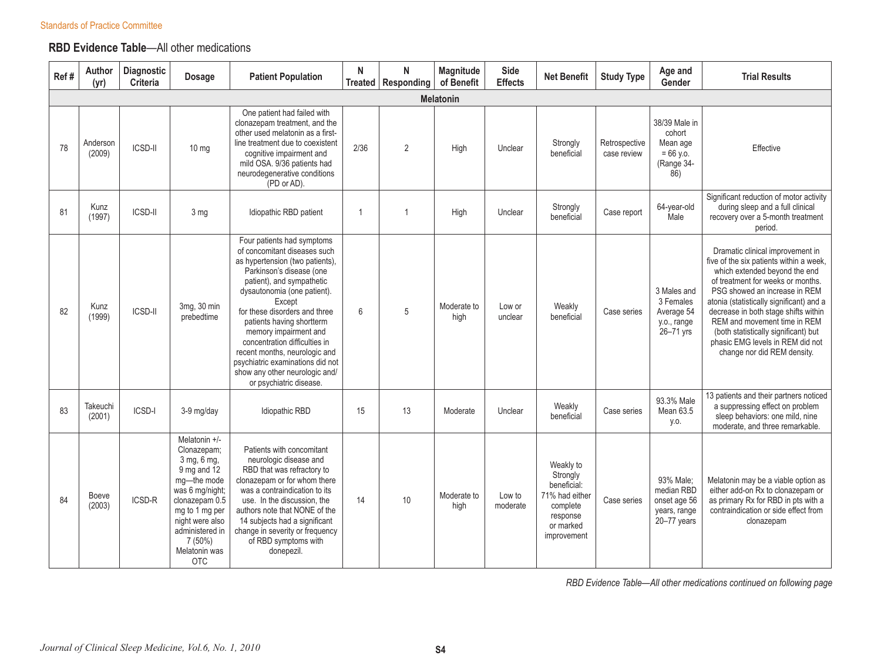## **RBD Evidence Table**—All other medications

| Ref# | Author<br>(yr)     | Diagnostic<br>Criteria | <b>Dosage</b>                                                                                                                                                                                                          | <b>Patient Population</b>                                                                                                                                                                                                                                                                                                                                                                                                                                 | N    | N<br>Treated   Responding | Magnitude<br>of Benefit | <b>Side</b><br><b>Effects</b> | <b>Net Benefit</b>                                                                                         | <b>Study Type</b>            | Age and<br>Gender                                                       | <b>Trial Results</b>                                                                                                                                                                                                                                                                                                                                                                                              |
|------|--------------------|------------------------|------------------------------------------------------------------------------------------------------------------------------------------------------------------------------------------------------------------------|-----------------------------------------------------------------------------------------------------------------------------------------------------------------------------------------------------------------------------------------------------------------------------------------------------------------------------------------------------------------------------------------------------------------------------------------------------------|------|---------------------------|-------------------------|-------------------------------|------------------------------------------------------------------------------------------------------------|------------------------------|-------------------------------------------------------------------------|-------------------------------------------------------------------------------------------------------------------------------------------------------------------------------------------------------------------------------------------------------------------------------------------------------------------------------------------------------------------------------------------------------------------|
|      |                    |                        |                                                                                                                                                                                                                        |                                                                                                                                                                                                                                                                                                                                                                                                                                                           |      |                           | <b>Melatonin</b>        |                               |                                                                                                            |                              |                                                                         |                                                                                                                                                                                                                                                                                                                                                                                                                   |
| 78   | Anderson<br>(2009) | <b>ICSD-II</b>         | $10 \text{ mg}$                                                                                                                                                                                                        | One patient had failed with<br>clonazepam treatment, and the<br>other used melatonin as a first-<br>line treatment due to coexistent<br>cognitive impairment and<br>mild OSA. 9/36 patients had<br>neurodegenerative conditions<br>(PD or AD).                                                                                                                                                                                                            | 2/36 | $\overline{2}$            | High                    | Unclear                       | Strongly<br>beneficial                                                                                     | Retrospective<br>case review | 38/39 Male in<br>cohort<br>Mean age<br>$= 66$ y.o.<br>(Range 34-<br>86) | Effective                                                                                                                                                                                                                                                                                                                                                                                                         |
| 81   | Kunz<br>(1997)     | ICSD-II                | 3 mg                                                                                                                                                                                                                   | Idiopathic RBD patient                                                                                                                                                                                                                                                                                                                                                                                                                                    |      | $\overline{1}$            | High                    | Unclear                       | Strongly<br>beneficial                                                                                     | Case report                  | 64-year-old<br>Male                                                     | Significant reduction of motor activity<br>during sleep and a full clinical<br>recovery over a 5-month treatment<br>period.                                                                                                                                                                                                                                                                                       |
| 82   | Kunz<br>(1999)     | <b>ICSD-II</b>         | 3mg, 30 min<br>prebedtime                                                                                                                                                                                              | Four patients had symptoms<br>of concomitant diseases such<br>as hypertension (two patients),<br>Parkinson's disease (one<br>patient), and sympathetic<br>dysautonomia (one patient).<br>Except<br>for these disorders and three<br>patients having shortterm<br>memory impairment and<br>concentration difficulties in<br>recent months, neurologic and<br>psychiatric examinations did not<br>show any other neurologic and/<br>or psychiatric disease. | 6    | 5                         | Moderate to<br>high     | Low or<br>unclear             | Weakly<br>beneficial                                                                                       | Case series                  | 3 Males and<br>3 Females<br>Average 54<br>y.o., range<br>26-71 yrs      | Dramatic clinical improvement in<br>five of the six patients within a week,<br>which extended beyond the end<br>of treatment for weeks or months.<br>PSG showed an increase in REM<br>atonia (statistically significant) and a<br>decrease in both stage shifts within<br>REM and movement time in REM<br>(both statistically significant) but<br>phasic EMG levels in REM did not<br>change nor did REM density. |
| 83   | Takeuchi<br>(2001) | ICSD-I                 | 3-9 mg/day                                                                                                                                                                                                             | Idiopathic RBD                                                                                                                                                                                                                                                                                                                                                                                                                                            | 15   | 13                        | Moderate                | Unclear                       | Weakly<br>beneficial                                                                                       | Case series                  | 93.3% Male<br>Mean 63.5<br>y.o.                                         | 13 patients and their partners noticed<br>a suppressing effect on problem<br>sleep behaviors: one mild, nine<br>moderate, and three remarkable.                                                                                                                                                                                                                                                                   |
| 84   | Boeve<br>(2003)    | ICSD-R                 | Melatonin +/-<br>Clonazepam;<br>3 mg, 6 mg,<br>$9$ mg and $12$<br>mg-the mode<br>was 6 mg/night;<br>clonazepam 0.5<br>mg to 1 mg per<br>night were also<br>administered in<br>$7(50\%)$<br>Melatonin was<br><b>OTC</b> | Patients with concomitant<br>neurologic disease and<br>RBD that was refractory to<br>clonazepam or for whom there<br>was a contraindication to its<br>use. In the discussion, the<br>authors note that NONE of the<br>14 subjects had a significant<br>change in severity or frequency<br>of RBD symptoms with<br>donepezil.                                                                                                                              | 14   | 10                        | Moderate to<br>high     | Low to<br>moderate            | Weakly to<br>Strongly<br>beneficial:<br>71% had either<br>complete<br>response<br>or marked<br>improvement | Case series                  | 93% Male:<br>median RBD<br>onset age 56<br>years, range<br>20-77 years  | Melatonin may be a viable option as<br>either add-on Rx to clonazepam or<br>as primary Rx for RBD in pts with a<br>contraindication or side effect from<br>clonazepam                                                                                                                                                                                                                                             |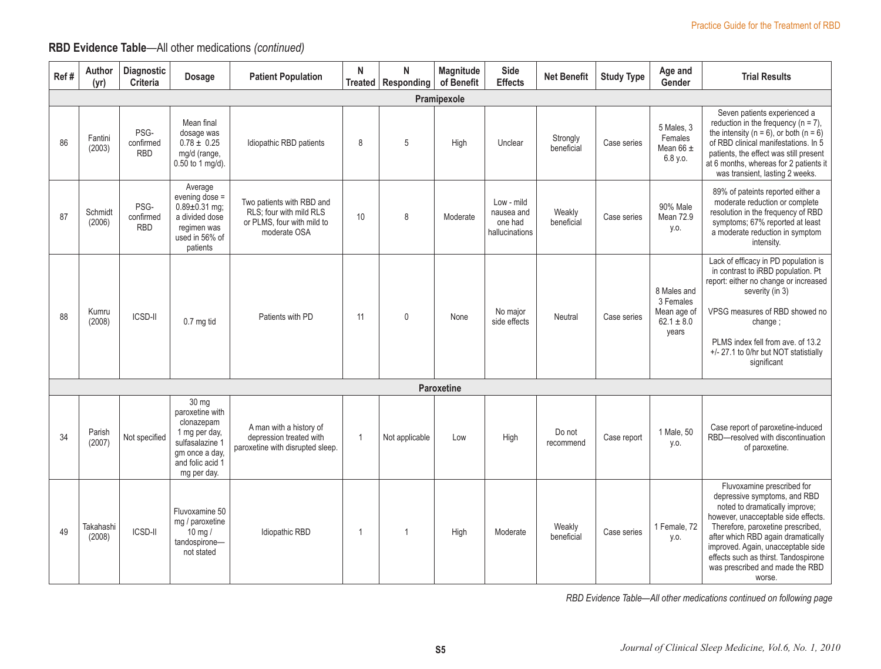## **RBD Evidence Table**—All other medications *(continued)*

| Ref# | Author<br>(yr)      | Diagnostic<br>Criteria          | <b>Dosage</b>                                                                                                                   | <b>Patient Population</b>                                                                          | N              | N<br>Treated   Responding | Magnitude<br>of Benefit | Side<br><b>Effects</b>                                | <b>Net Benefit</b>     | <b>Study Type</b> | Age and<br>Gender                                                  | <b>Trial Results</b>                                                                                                                                                                                                                                                                                                                      |
|------|---------------------|---------------------------------|---------------------------------------------------------------------------------------------------------------------------------|----------------------------------------------------------------------------------------------------|----------------|---------------------------|-------------------------|-------------------------------------------------------|------------------------|-------------------|--------------------------------------------------------------------|-------------------------------------------------------------------------------------------------------------------------------------------------------------------------------------------------------------------------------------------------------------------------------------------------------------------------------------------|
|      |                     |                                 |                                                                                                                                 |                                                                                                    |                |                           | Pramipexole             |                                                       |                        |                   |                                                                    |                                                                                                                                                                                                                                                                                                                                           |
| 86   | Fantini<br>(2003)   | PSG-<br>confirmed<br><b>RBD</b> | Mean final<br>dosage was<br>$0.78 \pm 0.25$<br>mg/d (range,<br>0.50 to 1 mg/d).                                                 | Idiopathic RBD patients                                                                            | 8              | 5                         | High                    | Unclear                                               | Strongly<br>beneficial | Case series       | 5 Males, 3<br>Females<br>Mean $66 \pm$<br>6.8 y.o.                 | Seven patients experienced a<br>reduction in the frequency ( $n = 7$ ),<br>the intensity ( $n = 6$ ), or both ( $n = 6$ )<br>of RBD clinical manifestations. In 5<br>patients, the effect was still present<br>at 6 months, whereas for 2 patients it<br>was transient, lasting 2 weeks.                                                  |
| 87   | Schmidt<br>(2006)   | PSG-<br>confirmed<br><b>RBD</b> | Average<br>evening dose =<br>$0.89 \pm 0.31$ mg;<br>a divided dose<br>regimen was<br>used in 56% of<br>patients                 | Two patients with RBD and<br>RLS: four with mild RLS<br>or PLMS, four with mild to<br>moderate OSA | 10             | 8                         | Moderate                | Low - mild<br>nausea and<br>one had<br>hallucinations | Weakly<br>beneficial   | Case series       | 90% Male<br><b>Mean 72.9</b><br>y.o.                               | 89% of pateints reported either a<br>moderate reduction or complete<br>resolution in the frequency of RBD<br>symptoms; 67% reported at least<br>a moderate reduction in symptom<br>intensity.                                                                                                                                             |
| 88   | Kumru<br>(2008)     | <b>ICSD-II</b>                  | 0.7 mg tid                                                                                                                      | Patients with PD                                                                                   | 11             | $\mathbf{0}$              | None                    | No major<br>side effects                              | Neutral                | Case series       | 8 Males and<br>3 Females<br>Mean age of<br>$62.1 \pm 8.0$<br>years | Lack of efficacy in PD population is<br>in contrast to iRBD population. Pt<br>report: either no change or increased<br>severity (in 3)<br>VPSG measures of RBD showed no<br>change;<br>PLMS index fell from ave. of 13.2<br>+/- 27.1 to 0/hr but NOT statistially<br>significant                                                          |
|      |                     |                                 |                                                                                                                                 |                                                                                                    |                |                           | Paroxetine              |                                                       |                        |                   |                                                                    |                                                                                                                                                                                                                                                                                                                                           |
| 34   | Parish<br>(2007)    | Not specified                   | 30 mg<br>paroxetine with<br>clonazepam<br>1 mg per day,<br>sulfasalazine 1<br>qm once a day,<br>and folic acid 1<br>mg per day. | A man with a history of<br>depression treated with<br>paroxetine with disrupted sleep.             | $\overline{1}$ | Not applicable            | Low                     | High                                                  | Do not<br>recommend    | Case report       | 1 Male, 50<br>y.o.                                                 | Case report of paroxetine-induced<br>RBD-resolved with discontinuation<br>of paroxetine.                                                                                                                                                                                                                                                  |
| 49   | Takahashi<br>(2008) | ICSD-II                         | Fluvoxamine 50<br>mg / paroxetine<br>$10 \text{ mg}$<br>tandospirone-<br>not stated                                             | Idiopathic RBD                                                                                     | $\mathbf{1}$   |                           | High                    | Moderate                                              | Weakly<br>beneficial   | Case series       | 1 Female, 72<br>y.o.                                               | Fluvoxamine prescribed for<br>depressive symptoms, and RBD<br>noted to dramatically improve;<br>however, unacceptable side effects.<br>Therefore, paroxetine prescribed,<br>after which RBD again dramatically<br>improved. Again, unacceptable side<br>effects such as thirst. Tandospirone<br>was prescribed and made the RBD<br>worse. |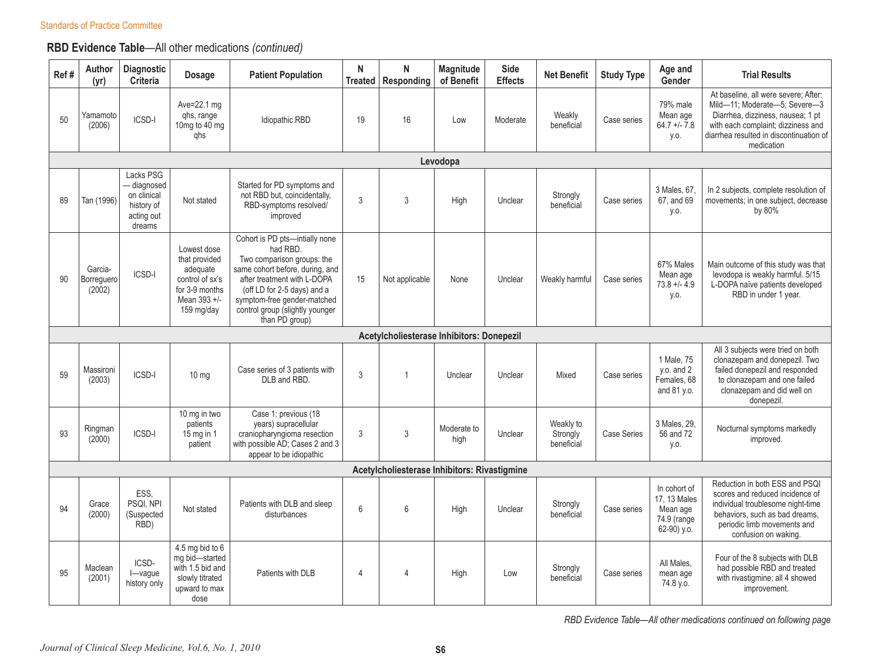## **RBD Evidence Table**—All other medications *(continued)*

| Ref# | Author<br>(yr)                  | Diagnostic<br>Criteria                                                        | <b>Dosage</b>                                                                                               | <b>Patient Population</b>                                                                                                                                                                                                                                     | N<br>Treated   | N<br>Responding                              | Magnitude<br>of Benefit | Side<br><b>Effects</b> | <b>Net Benefit</b>                  | <b>Study Type</b>  | Age and<br>Gender                                                         | <b>Trial Results</b>                                                                                                                                                                                      |
|------|---------------------------------|-------------------------------------------------------------------------------|-------------------------------------------------------------------------------------------------------------|---------------------------------------------------------------------------------------------------------------------------------------------------------------------------------------------------------------------------------------------------------------|----------------|----------------------------------------------|-------------------------|------------------------|-------------------------------------|--------------------|---------------------------------------------------------------------------|-----------------------------------------------------------------------------------------------------------------------------------------------------------------------------------------------------------|
| 50   | Yamamoto<br>(2006)              | ICSD-I                                                                        | Ave=22.1 mg<br>ghs, range<br>10mg to 40 mg<br>qhs                                                           | Idiopathic RBD                                                                                                                                                                                                                                                | 19             | 16                                           | Low                     | Moderate               | Weakly<br>beneficial                | Case series        | 79% male<br>Mean age<br>$64.7 + 7.8$<br>y.o.                              | At baseline, all were severe: After:<br>Mild-11; Moderate-5; Severe-3<br>Diarrhea, dizziness, nausea; 1 pt<br>with each complaint; dizziness and<br>diarrhea resulted in discontinuation of<br>medication |
|      |                                 |                                                                               |                                                                                                             |                                                                                                                                                                                                                                                               |                |                                              | Levodopa                |                        |                                     |                    |                                                                           |                                                                                                                                                                                                           |
| 89   | Tan (1996)                      | Lacks PSG<br>- diagnosed<br>on clinical<br>history of<br>acting out<br>dreams | Not stated                                                                                                  | Started for PD symptoms and<br>not RBD but, coincidentally,<br>RBD-symptoms resolved/<br>improved                                                                                                                                                             | 3              | 3                                            | High                    | Unclear                | Strongly<br>beneficial              | Case series        | 3 Males, 67.<br>67, and 69<br>y.o.                                        | In 2 subjects, complete resolution of<br>movements; in one subject, decrease<br>by 80%                                                                                                                    |
| 90   | Garcia-<br>Borreguero<br>(2002) | ICSD-I                                                                        | Lowest dose<br>that provided<br>adequate<br>control of sx's<br>for 3-9 months<br>Mean 393 +/-<br>159 mg/day | Cohort is PD pts-intially none<br>had RBD.<br>Two comparison groups: the<br>same cohort before, during, and<br>after treatment with L-DOPA<br>(off LD for 2-5 days) and a<br>symptom-free gender-matched<br>control group (slightly younger<br>than PD group) | 15             | Not applicable                               | None                    | Unclear                | Weakly harmful                      | Case series        | 67% Males<br>Mean age<br>$73.8 + -4.9$<br>y.o.                            | Main outcome of this study was that<br>levodopa is weakly harmful. 5/15<br>L-DOPA naïve patients developed<br>RBD in under 1 year.                                                                        |
|      |                                 |                                                                               |                                                                                                             |                                                                                                                                                                                                                                                               |                | Acetylcholiesterase Inhibitors: Donepezil    |                         |                        |                                     |                    |                                                                           |                                                                                                                                                                                                           |
| 59   | Massironi<br>(2003)             | ICSD-I                                                                        | $10 \, \text{mg}$                                                                                           | Case series of 3 patients with<br>DLB and RBD.                                                                                                                                                                                                                | 3              | $\overline{1}$                               | Unclear                 | Unclear                | Mixed                               | Case series        | 1 Male, 75<br>$y.o.$ and $2$<br>Females, 68<br>and 81 y.o.                | All 3 subjects were tried on both<br>clonazepam and donepezil. Two<br>failed donepezil and responded<br>to clonazepam and one failed<br>clonazepam and did well on<br>donepezil.                          |
| 93   | Ringman<br>(2000)               | ICSD-I                                                                        | 10 mg in two<br>patients<br>$15$ mg in 1<br>patient                                                         | Case 1: previous (18<br>years) supracellular<br>craniopharyngioma resection<br>with possible AD; Cases 2 and 3<br>appear to be idiopathic                                                                                                                     | 3              | $\mathfrak{Z}$                               | Moderate to<br>high     | Unclear                | Weakly to<br>Strongly<br>beneficial | <b>Case Series</b> | 3 Males, 29.<br>56 and 72<br>y.o.                                         | Nocturnal symptoms markedly<br>improved.                                                                                                                                                                  |
|      |                                 |                                                                               |                                                                                                             |                                                                                                                                                                                                                                                               |                | Acetylcholiesterase Inhibitors: Rivastigmine |                         |                        |                                     |                    |                                                                           |                                                                                                                                                                                                           |
| 94   | Grace<br>(2000)                 | ESS.<br>PSQI, NPI<br>(Suspected<br>RBD)                                       | Not stated                                                                                                  | Patients with DLB and sleep<br>disturbances                                                                                                                                                                                                                   | 6              | 6                                            | High                    | Unclear                | Strongly<br>beneficial              | Case series        | In cohort of<br>17, 13 Males<br>Mean age<br>74.9 (range<br>$62-90$ ) y.o. | Reduction in both ESS and PSQI<br>scores and reduced incidence of<br>individual troublesome night-time<br>behaviors, such as bad dreams,<br>periodic limb movements and<br>confusion on waking.           |
| 95   | Maclean<br>(2001)               | ICSD-<br>$I - \vee$ ague<br>history only                                      | $4.5$ mg bid to $6$<br>mg bid-started<br>with 1.5 bid and<br>slowly titrated<br>upward to max<br>dose       | Patients with DLB                                                                                                                                                                                                                                             | $\overline{4}$ | $\Delta$                                     | High                    | Low                    | Strongly<br>beneficial              | Case series        | All Males.<br>mean age<br>74.8 y.o.                                       | Four of the 8 subjects with DLB<br>had possible RBD and treated<br>with rivastigmine; all 4 showed<br>improvement.                                                                                        |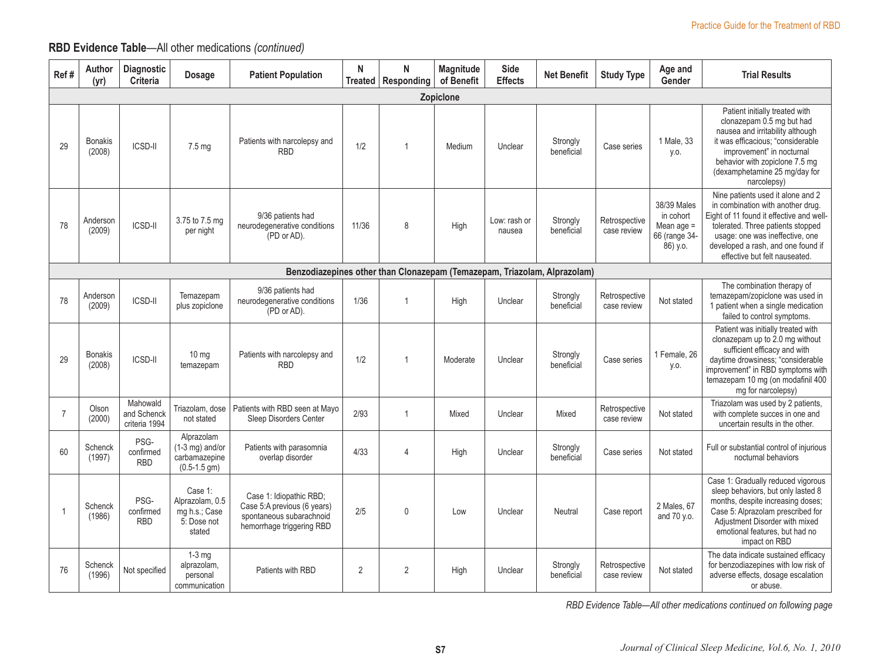## **RBD Evidence Table**—All other medications *(continued)*

| Ref#           | Author<br>(yr)           | Diagnostic<br>Criteria                   | Dosage                                                               | <b>Patient Population</b>                                                                                       | N     | N<br>Treated   Responding | <b>Magnitude</b><br>of Benefit | Side<br><b>Effects</b> | <b>Net Benefit</b>                                                       | <b>Study Type</b>            | Age and<br>Gender                                                   | <b>Trial Results</b>                                                                                                                                                                                                                                              |
|----------------|--------------------------|------------------------------------------|----------------------------------------------------------------------|-----------------------------------------------------------------------------------------------------------------|-------|---------------------------|--------------------------------|------------------------|--------------------------------------------------------------------------|------------------------------|---------------------------------------------------------------------|-------------------------------------------------------------------------------------------------------------------------------------------------------------------------------------------------------------------------------------------------------------------|
|                |                          |                                          |                                                                      |                                                                                                                 |       |                           | <b>Zopiclone</b>               |                        |                                                                          |                              |                                                                     |                                                                                                                                                                                                                                                                   |
| 29             | <b>Bonakis</b><br>(2008) | <b>ICSD-II</b>                           | $7.5 \text{ mg}$                                                     | Patients with narcolepsy and<br><b>RBD</b>                                                                      | 1/2   | $\overline{1}$            | Medium                         | Unclear                | Strongly<br>beneficial                                                   | Case series                  | 1 Male, 33<br>y.o.                                                  | Patient initially treated with<br>clonazepam 0.5 mg but had<br>nausea and irritability although<br>it was efficacious: "considerable<br>improvement" in nocturnal<br>behavior with zopiclone 7.5 mg<br>(dexamphetamine 25 mg/day for<br>narcolepsy)               |
| 78             | Anderson<br>(2009)       | ICSD-II                                  | 3.75 to 7.5 mg<br>per night                                          | 9/36 patients had<br>neurodegenerative conditions<br>(PD or AD).                                                | 11/36 | 8                         | High                           | Low: rash or<br>nausea | Strongly<br>beneficial                                                   | Retrospective<br>case review | 38/39 Males<br>in cohort<br>Mean age =<br>66 (range 34-<br>86) y.o. | Nine patients used it alone and 2<br>in combination with another drug.<br>Eight of 11 found it effective and well-<br>tolerated. Three patients stopped<br>usage: one was ineffective, one<br>developed a rash, and one found if<br>effective but felt nauseated. |
|                |                          |                                          |                                                                      |                                                                                                                 |       |                           |                                |                        | Benzodiazepines other than Clonazepam (Temazepam, Triazolam, Alprazolam) |                              |                                                                     |                                                                                                                                                                                                                                                                   |
| 78             | Anderson<br>(2009)       | ICSD-II                                  | Temazepam<br>plus zopiclone                                          | 9/36 patients had<br>neurodegenerative conditions<br>(PD or AD).                                                | 1/36  | $\mathbf{1}$              | High                           | Unclear                | Strongly<br>beneficial                                                   | Retrospective<br>case review | Not stated                                                          | The combination therapy of<br>temazepam/zopiclone was used in<br>1 patient when a single medication<br>failed to control symptoms.                                                                                                                                |
| 29             | <b>Bonakis</b><br>(2008) | <b>ICSD-II</b>                           | $10 \text{ mg}$<br>temazepam                                         | Patients with narcolepsy and<br><b>RBD</b>                                                                      | 1/2   | $\overline{1}$            | Moderate                       | Unclear                | Strongly<br>beneficial                                                   | Case series                  | 1 Female, 26<br>y.o.                                                | Patient was initially treated with<br>clonazepam up to 2.0 mg without<br>sufficient efficacy and with<br>daytime drowsiness; "considerable<br>improvement" in RBD symptoms with<br>temazepam 10 mg (on modafinil 400<br>mg for narcolepsy)                        |
| $\overline{7}$ | Olson<br>(2000)          | Mahowald<br>and Schenck<br>criteria 1994 | Triazolam, dose<br>not stated                                        | Patients with RBD seen at Mayo<br>Sleep Disorders Center                                                        | 2/93  | $\mathbf{1}$              | Mixed                          | Unclear                | Mixed                                                                    | Retrospective<br>case review | Not stated                                                          | Triazolam was used by 2 patients,<br>with complete succes in one and<br>uncertain results in the other.                                                                                                                                                           |
| 60             | Schenck<br>(1997)        | PSG-<br>confirmed<br><b>RBD</b>          | Alprazolam<br>$(1-3$ mg) and/or<br>carbamazepine<br>$(0.5-1.5)$ gm)  | Patients with parasomnia<br>overlap disorder                                                                    | 4/33  | 4                         | High                           | Unclear                | Strongly<br>beneficial                                                   | Case series                  | Not stated                                                          | Full or substantial control of injurious<br>nocturnal behaviors                                                                                                                                                                                                   |
| $\overline{1}$ | Schenck<br>(1986)        | PSG-<br>confirmed<br><b>RBD</b>          | Case 1:<br>Alprazolam, 0.5<br>mg h.s.; Case<br>5: Dose not<br>stated | Case 1: Idiopathic RBD;<br>Case 5:A previous (6 years)<br>spontaneous subarachnoid<br>hemorrhage triggering RBD | 2/5   | $\mathbf{0}$              | Low                            | Unclear                | Neutral                                                                  | Case report                  | 2 Males, 67<br>and 70 y.o.                                          | Case 1: Gradually reduced vigorous<br>sleep behaviors, but only lasted 8<br>months, despite increasing doses;<br>Case 5: Alprazolam prescribed for<br>Adjustment Disorder with mixed<br>emotional features, but had no<br>impact on RBD                           |
| 76             | Schenck<br>(1996)        | Not specified                            | $1-3$ mg<br>alprazolam,<br>personal<br>communication                 | Patients with RBD                                                                                               | 2     | $\overline{2}$            | High                           | Unclear                | Strongly<br>beneficial                                                   | Retrospective<br>case review | Not stated                                                          | The data indicate sustained efficacy<br>for benzodiazepines with low risk of<br>adverse effects, dosage escalation<br>or abuse.                                                                                                                                   |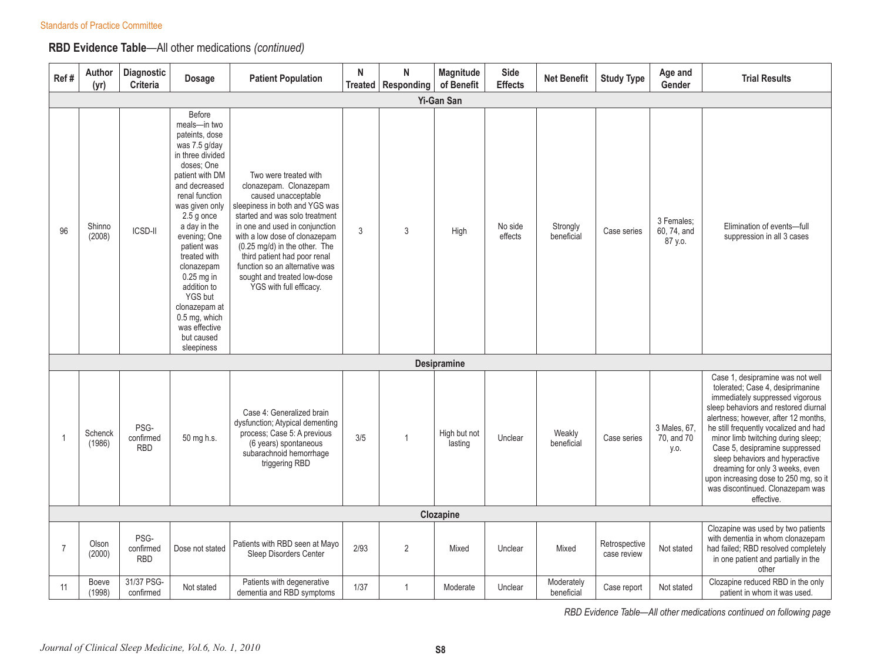## **RBD Evidence Table**—All other medications *(continued)*

| Ref#           | Author<br>(yr)         | Diagnostic<br>Criteria          | <b>Dosage</b>                                                                                                                                                                                                                                                                                                                                                                             | <b>Patient Population</b>                                                                                                                                                                                                                                                                                                                                                  | N    | $\mathsf{N}$<br>Treated   Responding | Magnitude<br>of Benefit | Side<br><b>Effects</b> | <b>Net Benefit</b>       | <b>Study Type</b>            | Age and<br>Gender                    | <b>Trial Results</b>                                                                                                                                                                                                                                                                                                                                                                                                                                                      |
|----------------|------------------------|---------------------------------|-------------------------------------------------------------------------------------------------------------------------------------------------------------------------------------------------------------------------------------------------------------------------------------------------------------------------------------------------------------------------------------------|----------------------------------------------------------------------------------------------------------------------------------------------------------------------------------------------------------------------------------------------------------------------------------------------------------------------------------------------------------------------------|------|--------------------------------------|-------------------------|------------------------|--------------------------|------------------------------|--------------------------------------|---------------------------------------------------------------------------------------------------------------------------------------------------------------------------------------------------------------------------------------------------------------------------------------------------------------------------------------------------------------------------------------------------------------------------------------------------------------------------|
|                |                        |                                 |                                                                                                                                                                                                                                                                                                                                                                                           |                                                                                                                                                                                                                                                                                                                                                                            |      |                                      | Yi-Gan San              |                        |                          |                              |                                      |                                                                                                                                                                                                                                                                                                                                                                                                                                                                           |
| 96             | Shinno<br>(2008)       | <b>ICSD-II</b>                  | Before<br>meals-in two<br>pateints, dose<br>was 7.5 g/day<br>in three divided<br>doses; One<br>patient with DM<br>and decreased<br>renal function<br>was given only<br>$2.5$ g once<br>a day in the<br>evening; One<br>patient was<br>treated with<br>clonazepam<br>$0.25$ mg in<br>addition to<br>YGS but<br>clonazepam at<br>0.5 mg, which<br>was effective<br>but caused<br>sleepiness | Two were treated with<br>clonazepam. Clonazepam<br>caused unacceptable<br>sleepiness in both and YGS was<br>started and was solo treatment<br>in one and used in conjunction<br>with a low dose of clonazepam<br>(0.25 mg/d) in the other. The<br>third patient had poor renal<br>function so an alternative was<br>sought and treated low-dose<br>YGS with full efficacy. | 3    | 3                                    | High                    | No side<br>effects     | Strongly<br>beneficial   | Case series                  | 3 Females:<br>60, 74, and<br>87 y.o. | Elimination of events-full<br>suppression in all 3 cases                                                                                                                                                                                                                                                                                                                                                                                                                  |
|                |                        |                                 |                                                                                                                                                                                                                                                                                                                                                                                           |                                                                                                                                                                                                                                                                                                                                                                            |      |                                      | Desipramine             |                        |                          |                              |                                      |                                                                                                                                                                                                                                                                                                                                                                                                                                                                           |
| $\overline{1}$ | Schenck<br>(1986)      | PSG-<br>confirmed<br><b>RBD</b> | 50 mg h.s.                                                                                                                                                                                                                                                                                                                                                                                | Case 4: Generalized brain<br>dysfunction; Atypical dementing<br>process; Case 5: A previous<br>(6 years) spontaneous<br>subarachnoid hemorrhage<br>triggering RBD                                                                                                                                                                                                          | 3/5  | $\overline{1}$                       | High but not<br>lasting | Unclear                | Weakly<br>beneficial     | Case series                  | 3 Males, 67,<br>70, and 70<br>y.o.   | Case 1, desipramine was not well<br>tolerated; Case 4, desiprimanine<br>immediately suppressed vigorous<br>sleep behaviors and restored diurnal<br>alertness; however, after 12 months,<br>he still frequently vocalized and had<br>minor limb twitching during sleep;<br>Case 5, desipramine suppressed<br>sleep behaviors and hyperactive<br>dreaming for only 3 weeks, even<br>upon increasing dose to 250 mg, so it<br>was discontinued. Clonazepam was<br>effective. |
|                |                        |                                 |                                                                                                                                                                                                                                                                                                                                                                                           |                                                                                                                                                                                                                                                                                                                                                                            |      |                                      | Clozapine               |                        |                          |                              |                                      |                                                                                                                                                                                                                                                                                                                                                                                                                                                                           |
| $\overline{7}$ | Olson<br>(2000)        | PSG-<br>confirmed<br><b>RBD</b> | Dose not stated                                                                                                                                                                                                                                                                                                                                                                           | Patients with RBD seen at Mayo<br>Sleep Disorders Center                                                                                                                                                                                                                                                                                                                   | 2/93 | 2                                    | Mixed                   | Unclear                | Mixed                    | Retrospective<br>case review | Not stated                           | Clozapine was used by two patients<br>with dementia in whom clonazepam<br>had failed; RBD resolved completely<br>in one patient and partially in the<br>other                                                                                                                                                                                                                                                                                                             |
| 11             | <b>Boeve</b><br>(1998) | 31/37 PSG-<br>confirmed         | Not stated                                                                                                                                                                                                                                                                                                                                                                                | Patients with degenerative<br>dementia and RBD symptoms                                                                                                                                                                                                                                                                                                                    | 1/37 | $\mathbf{1}$                         | Moderate                | Unclear                | Moderately<br>beneficial | Case report                  | Not stated                           | Clozapine reduced RBD in the only<br>patient in whom it was used.                                                                                                                                                                                                                                                                                                                                                                                                         |